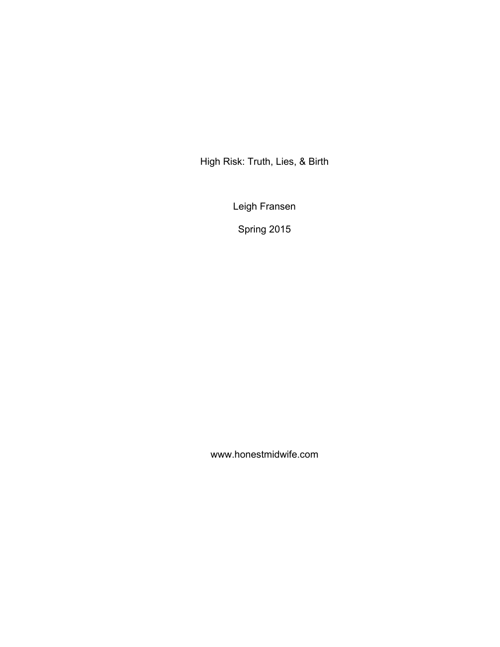High Risk: Truth, Lies, & Birth

Leigh Fransen

Spring 2015

www.honestmidwife.com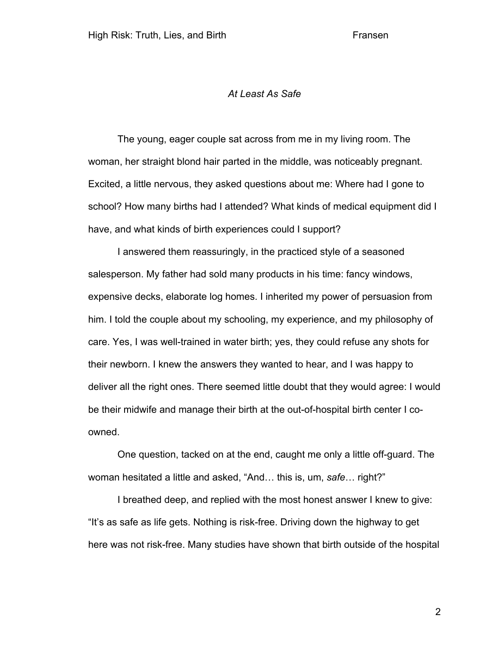## *At Least As Safe*

The young, eager couple sat across from me in my living room. The woman, her straight blond hair parted in the middle, was noticeably pregnant. Excited, a little nervous, they asked questions about me: Where had I gone to school? How many births had I attended? What kinds of medical equipment did I have, and what kinds of birth experiences could I support?

I answered them reassuringly, in the practiced style of a seasoned salesperson. My father had sold many products in his time: fancy windows, expensive decks, elaborate log homes. I inherited my power of persuasion from him. I told the couple about my schooling, my experience, and my philosophy of care. Yes, I was well-trained in water birth; yes, they could refuse any shots for their newborn. I knew the answers they wanted to hear, and I was happy to deliver all the right ones. There seemed little doubt that they would agree: I would be their midwife and manage their birth at the out-of-hospital birth center I coowned.

One question, tacked on at the end, caught me only a little off-guard. The woman hesitated a little and asked, "And… this is, um, *safe*… right?"

I breathed deep, and replied with the most honest answer I knew to give: "It's as safe as life gets. Nothing is risk-free. Driving down the highway to get here was not risk-free. Many studies have shown that birth outside of the hospital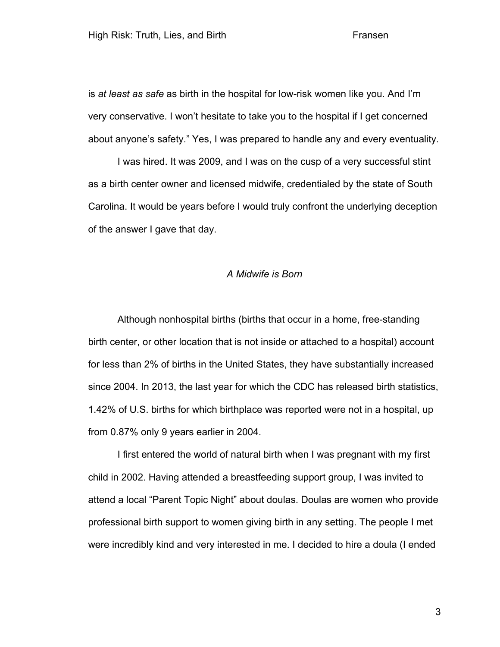is *at least as safe* as birth in the hospital for low-risk women like you. And I'm very conservative. I won't hesitate to take you to the hospital if I get concerned about anyone's safety." Yes, I was prepared to handle any and every eventuality.

I was hired. It was 2009, and I was on the cusp of a very successful stint as a birth center owner and licensed midwife, credentialed by the state of South Carolina. It would be years before I would truly confront the underlying deception of the answer I gave that day.

## *A Midwife is Born*

Although nonhospital births (births that occur in a home, free-standing birth center, or other location that is not inside or attached to a hospital) account for less than 2% of births in the United States, they have substantially increased since 2004. In 2013, the last year for which the CDC has released birth statistics, 1.42% of U.S. births for which birthplace was reported were not in a hospital, up from 0.87% only 9 years earlier in 2004.

I first entered the world of natural birth when I was pregnant with my first child in 2002. Having attended a breastfeeding support group, I was invited to attend a local "Parent Topic Night" about doulas. Doulas are women who provide professional birth support to women giving birth in any setting. The people I met were incredibly kind and very interested in me. I decided to hire a doula (I ended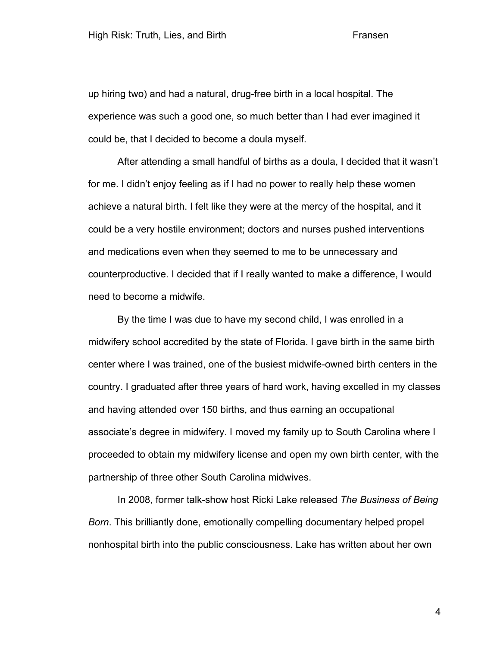up hiring two) and had a natural, drug-free birth in a local hospital. The experience was such a good one, so much better than I had ever imagined it could be, that I decided to become a doula myself.

After attending a small handful of births as a doula, I decided that it wasn't for me. I didn't enjoy feeling as if I had no power to really help these women achieve a natural birth. I felt like they were at the mercy of the hospital, and it could be a very hostile environment; doctors and nurses pushed interventions and medications even when they seemed to me to be unnecessary and counterproductive. I decided that if I really wanted to make a difference, I would need to become a midwife.

By the time I was due to have my second child, I was enrolled in a midwifery school accredited by the state of Florida. I gave birth in the same birth center where I was trained, one of the busiest midwife-owned birth centers in the country. I graduated after three years of hard work, having excelled in my classes and having attended over 150 births, and thus earning an occupational associate's degree in midwifery. I moved my family up to South Carolina where I proceeded to obtain my midwifery license and open my own birth center, with the partnership of three other South Carolina midwives.

In 2008, former talk-show host Ricki Lake released *The Business of Being Born*. This brilliantly done, emotionally compelling documentary helped propel nonhospital birth into the public consciousness. Lake has written about her own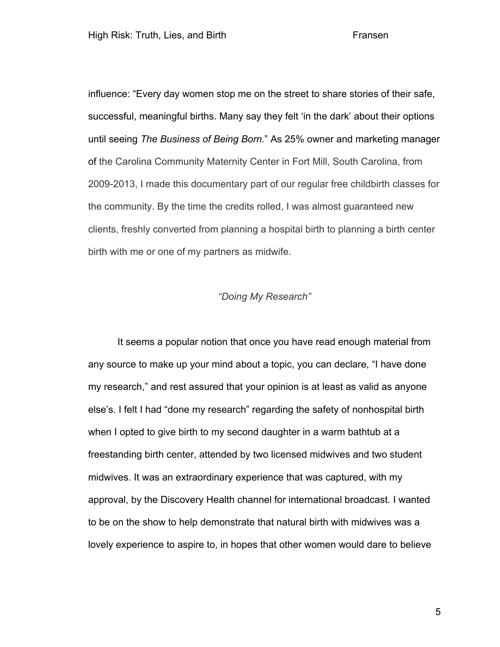influence: "Every day women stop me on the street to share stories of their safe, successful, meaningful births. Many say they felt 'in the dark' about their options until seeing *The Business of Being Born.*" As 25% owner and marketing manager of the Carolina Community Maternity Center in Fort Mill, South Carolina, from 2009-2013, I made this documentary part of our regular free childbirth classes for the community. By the time the credits rolled, I was almost guaranteed new clients, freshly converted from planning a hospital birth to planning a birth center birth with me or one of my partners as midwife.

# *"Doing My Research"*

It seems a popular notion that once you have read enough material from any source to make up your mind about a topic, you can declare, "I have done my research," and rest assured that your opinion is at least as valid as anyone else's. I felt I had "done my research" regarding the safety of nonhospital birth when I opted to give birth to my second daughter in a warm bathtub at a freestanding birth center, attended by two licensed midwives and two student midwives. It was an extraordinary experience that was captured, with my approval, by the Discovery Health channel for international broadcast. I wanted to be on the show to help demonstrate that natural birth with midwives was a lovely experience to aspire to, in hopes that other women would dare to believe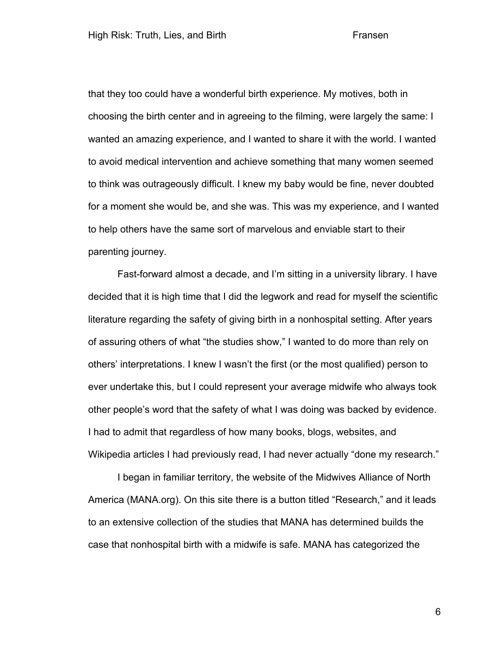that they too could have a wonderful birth experience. My motives, both in choosing the birth center and in agreeing to the filming, were largely the same: I wanted an amazing experience, and I wanted to share it with the world. I wanted to avoid medical intervention and achieve something that many women seemed to think was outrageously difficult. I knew my baby would be fine, never doubted for a moment she would be, and she was. This was my experience, and I wanted to help others have the same sort of marvelous and enviable start to their parenting journey.

Fast-forward almost a decade, and I'm sitting in a university library. I have decided that it is high time that I did the legwork and read for myself the scientific literature regarding the safety of giving birth in a nonhospital setting. After years of assuring others of what "the studies show," I wanted to do more than rely on others' interpretations. I knew I wasn't the first (or the most qualified) person to ever undertake this, but I could represent your average midwife who always took other people's word that the safety of what I was doing was backed by evidence. I had to admit that regardless of how many books, blogs, websites, and Wikipedia articles I had previously read, I had never actually "done my research."

I began in familiar territory, the website of the Midwives Alliance of North America (MANA.org). On this site there is a button titled "Research," and it leads to an extensive collection of the studies that MANA has determined builds the case that nonhospital birth with a midwife is safe. MANA has categorized the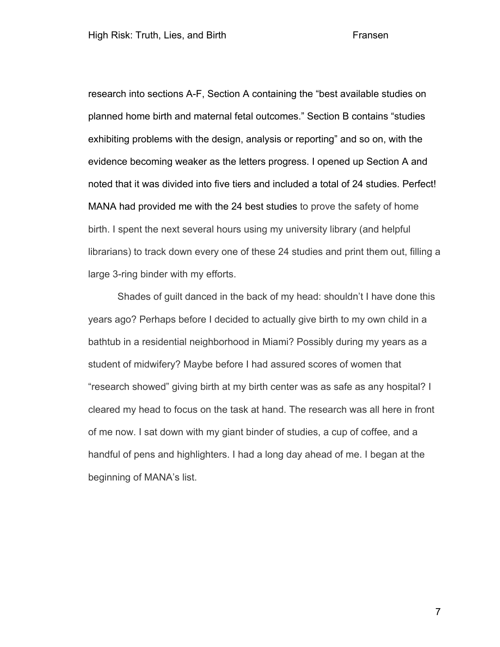research into sections A-F, Section A containing the "best available studies on planned home birth and maternal fetal outcomes." Section B contains "studies exhibiting problems with the design, analysis or reporting" and so on, with the evidence becoming weaker as the letters progress. I opened up Section A and noted that it was divided into five tiers and included a total of 24 studies. Perfect! MANA had provided me with the 24 best studies to prove the safety of home birth. I spent the next several hours using my university library (and helpful librarians) to track down every one of these 24 studies and print them out, filling a large 3-ring binder with my efforts.

Shades of guilt danced in the back of my head: shouldn't I have done this years ago? Perhaps before I decided to actually give birth to my own child in a bathtub in a residential neighborhood in Miami? Possibly during my years as a student of midwifery? Maybe before I had assured scores of women that "research showed" giving birth at my birth center was as safe as any hospital? I cleared my head to focus on the task at hand. The research was all here in front of me now. I sat down with my giant binder of studies, a cup of coffee, and a handful of pens and highlighters. I had a long day ahead of me. I began at the beginning of MANA's list.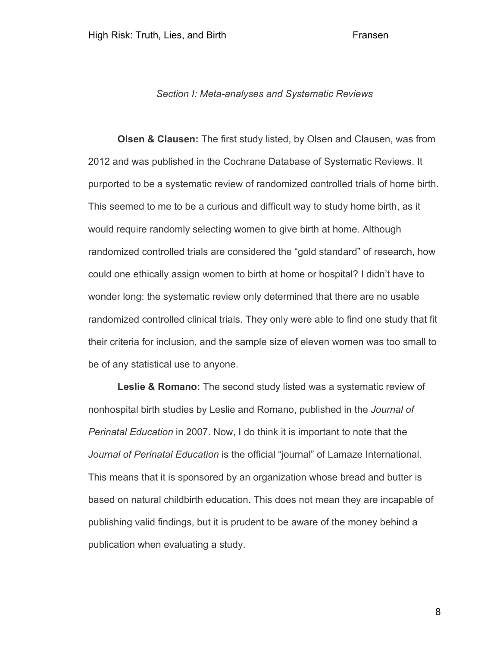# *Section I: Meta-analyses and Systematic Reviews*

**Olsen & Clausen:** The first study listed, by Olsen and Clausen, was from 2012 and was published in the Cochrane Database of Systematic Reviews. It purported to be a systematic review of randomized controlled trials of home birth. This seemed to me to be a curious and difficult way to study home birth, as it would require randomly selecting women to give birth at home. Although randomized controlled trials are considered the "gold standard" of research, how could one ethically assign women to birth at home or hospital? I didn't have to wonder long: the systematic review only determined that there are no usable randomized controlled clinical trials. They only were able to find one study that fit their criteria for inclusion, and the sample size of eleven women was too small to be of any statistical use to anyone.

**Leslie & Romano:** The second study listed was a systematic review of nonhospital birth studies by Leslie and Romano, published in the *Journal of Perinatal Education* in 2007. Now, I do think it is important to note that the *Journal of Perinatal Education* is the official "journal" of Lamaze International. This means that it is sponsored by an organization whose bread and butter is based on natural childbirth education. This does not mean they are incapable of publishing valid findings, but it is prudent to be aware of the money behind a publication when evaluating a study.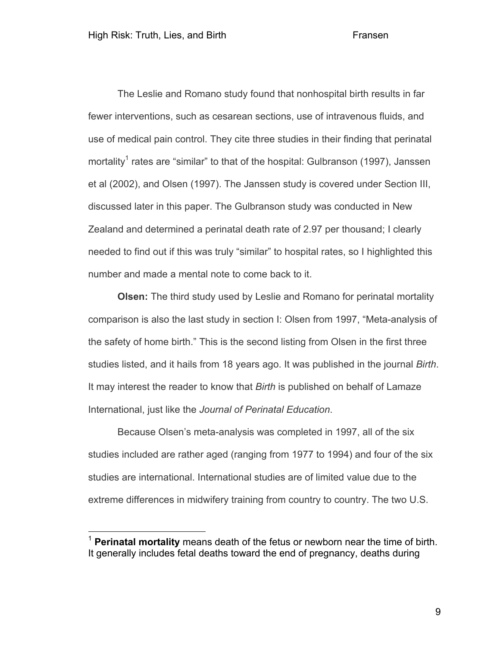The Leslie and Romano study found that nonhospital birth results in far fewer interventions, such as cesarean sections, use of intravenous fluids, and use of medical pain control. They cite three studies in their finding that perinatal mortality<sup>1</sup> rates are "similar" to that of the hospital: Gulbranson (1997), Janssen et al (2002), and Olsen (1997). The Janssen study is covered under Section III, discussed later in this paper. The Gulbranson study was conducted in New Zealand and determined a perinatal death rate of 2.97 per thousand; I clearly needed to find out if this was truly "similar" to hospital rates, so I highlighted this number and made a mental note to come back to it.

**Olsen:** The third study used by Leslie and Romano for perinatal mortality comparison is also the last study in section I: Olsen from 1997, "Meta-analysis of the safety of home birth." This is the second listing from Olsen in the first three studies listed, and it hails from 18 years ago. It was published in the journal *Birth*. It may interest the reader to know that *Birth* is published on behalf of Lamaze International, just like the *Journal of Perinatal Education*.

Because Olsen's meta-analysis was completed in 1997, all of the six studies included are rather aged (ranging from 1977 to 1994) and four of the six studies are international. International studies are of limited value due to the extreme differences in midwifery training from country to country. The two U.S.

 <sup>1</sup> **Perinatal mortality** means death of the fetus or newborn near the time of birth. It generally includes fetal deaths toward the end of pregnancy, deaths during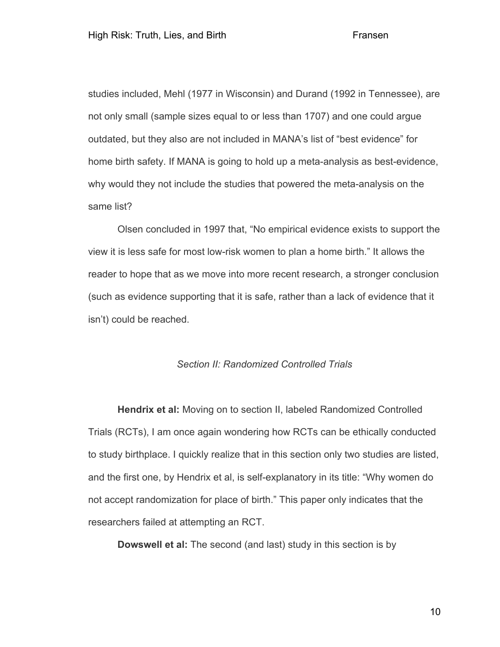studies included, Mehl (1977 in Wisconsin) and Durand (1992 in Tennessee), are not only small (sample sizes equal to or less than 1707) and one could argue outdated, but they also are not included in MANA's list of "best evidence" for home birth safety. If MANA is going to hold up a meta-analysis as best-evidence, why would they not include the studies that powered the meta-analysis on the same list?

Olsen concluded in 1997 that, "No empirical evidence exists to support the view it is less safe for most low-risk women to plan a home birth." It allows the reader to hope that as we move into more recent research, a stronger conclusion (such as evidence supporting that it is safe, rather than a lack of evidence that it isn't) could be reached.

# *Section II: Randomized Controlled Trials*

**Hendrix et al:** Moving on to section II, labeled Randomized Controlled Trials (RCTs), I am once again wondering how RCTs can be ethically conducted to study birthplace. I quickly realize that in this section only two studies are listed, and the first one, by Hendrix et al, is self-explanatory in its title: "Why women do not accept randomization for place of birth." This paper only indicates that the researchers failed at attempting an RCT.

**Dowswell et al:** The second (and last) study in this section is by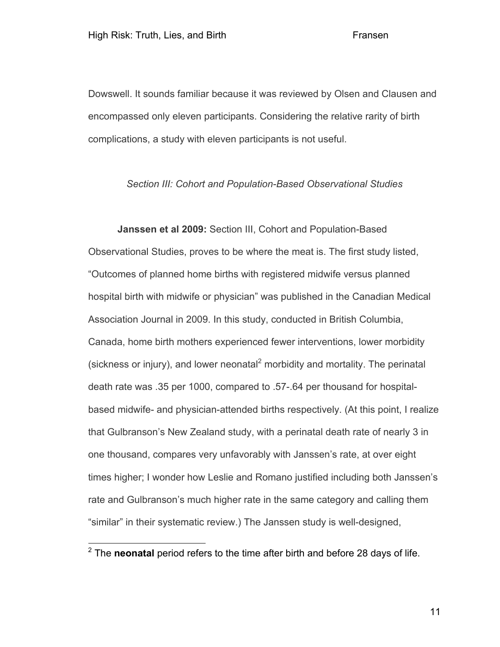Dowswell. It sounds familiar because it was reviewed by Olsen and Clausen and encompassed only eleven participants. Considering the relative rarity of birth complications, a study with eleven participants is not useful.

# *Section III: Cohort and Population-Based Observational Studies*

**Janssen et al 2009:** Section III, Cohort and Population-Based Observational Studies, proves to be where the meat is. The first study listed, "Outcomes of planned home births with registered midwife versus planned hospital birth with midwife or physician" was published in the Canadian Medical Association Journal in 2009. In this study, conducted in British Columbia, Canada, home birth mothers experienced fewer interventions, lower morbidity (sickness or injury), and lower neonatal<sup>2</sup> morbidity and mortality. The perinatal death rate was .35 per 1000, compared to .57-.64 per thousand for hospitalbased midwife- and physician-attended births respectively. (At this point, I realize that Gulbranson's New Zealand study, with a perinatal death rate of nearly 3 in one thousand, compares very unfavorably with Janssen's rate, at over eight times higher; I wonder how Leslie and Romano justified including both Janssen's rate and Gulbranson's much higher rate in the same category and calling them "similar" in their systematic review.) The Janssen study is well-designed,

 <sup>2</sup> The **neonatal** period refers to the time after birth and before 28 days of life.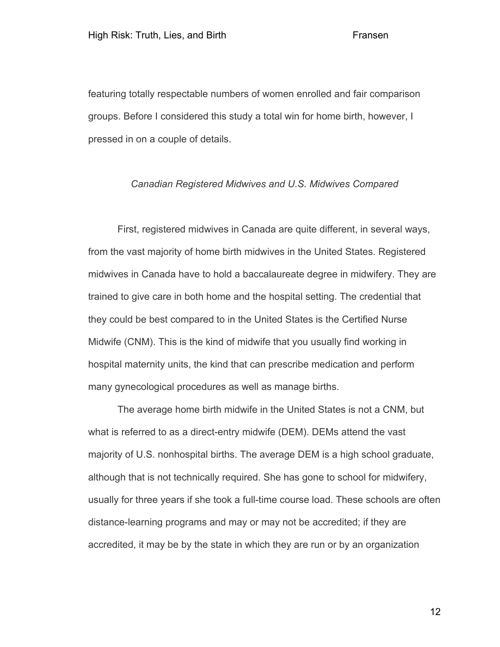featuring totally respectable numbers of women enrolled and fair comparison groups. Before I considered this study a total win for home birth, however, I pressed in on a couple of details.

## *Canadian Registered Midwives and U.S. Midwives Compared*

First, registered midwives in Canada are quite different, in several ways, from the vast majority of home birth midwives in the United States. Registered midwives in Canada have to hold a baccalaureate degree in midwifery. They are trained to give care in both home and the hospital setting. The credential that they could be best compared to in the United States is the Certified Nurse Midwife (CNM). This is the kind of midwife that you usually find working in hospital maternity units, the kind that can prescribe medication and perform many gynecological procedures as well as manage births.

The average home birth midwife in the United States is not a CNM, but what is referred to as a direct-entry midwife (DEM). DEMs attend the vast majority of U.S. nonhospital births. The average DEM is a high school graduate, although that is not technically required. She has gone to school for midwifery, usually for three years if she took a full-time course load. These schools are often distance-learning programs and may or may not be accredited; if they are accredited, it may be by the state in which they are run or by an organization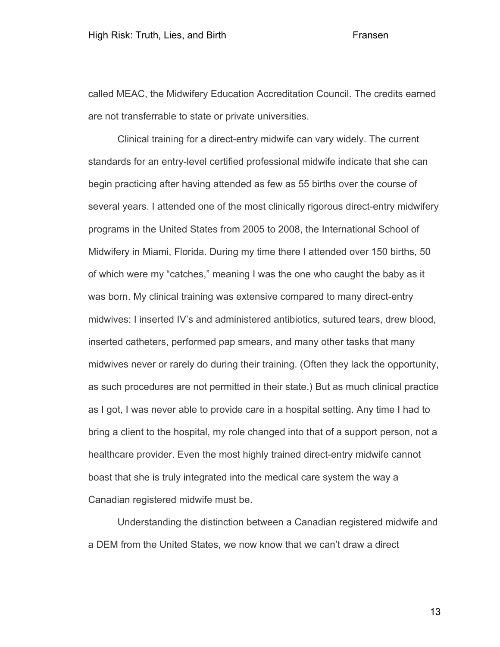called MEAC, the Midwifery Education Accreditation Council. The credits earned are not transferrable to state or private universities.

Clinical training for a direct-entry midwife can vary widely. The current standards for an entry-level certified professional midwife indicate that she can begin practicing after having attended as few as 55 births over the course of several years. I attended one of the most clinically rigorous direct-entry midwifery programs in the United States from 2005 to 2008, the International School of Midwifery in Miami, Florida. During my time there I attended over 150 births, 50 of which were my "catches," meaning I was the one who caught the baby as it was born. My clinical training was extensive compared to many direct-entry midwives: I inserted IV's and administered antibiotics, sutured tears, drew blood, inserted catheters, performed pap smears, and many other tasks that many midwives never or rarely do during their training. (Often they lack the opportunity, as such procedures are not permitted in their state.) But as much clinical practice as I got, I was never able to provide care in a hospital setting. Any time I had to bring a client to the hospital, my role changed into that of a support person, not a healthcare provider. Even the most highly trained direct-entry midwife cannot boast that she is truly integrated into the medical care system the way a Canadian registered midwife must be.

Understanding the distinction between a Canadian registered midwife and a DEM from the United States, we now know that we can't draw a direct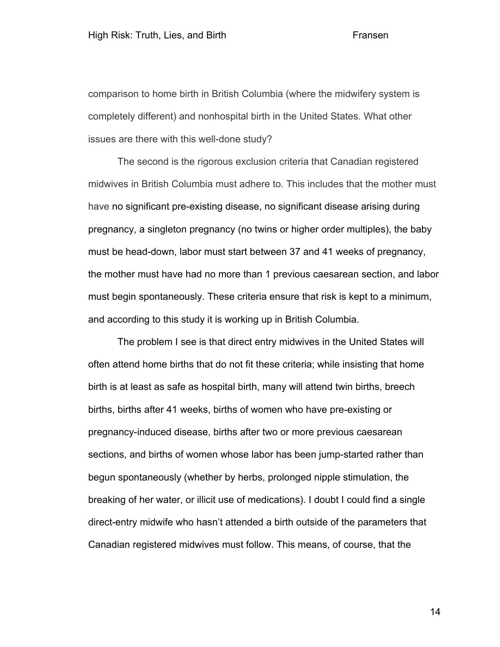comparison to home birth in British Columbia (where the midwifery system is completely different) and nonhospital birth in the United States. What other issues are there with this well-done study?

The second is the rigorous exclusion criteria that Canadian registered midwives in British Columbia must adhere to. This includes that the mother must have no significant pre-existing disease, no significant disease arising during pregnancy, a singleton pregnancy (no twins or higher order multiples), the baby must be head-down, labor must start between 37 and 41 weeks of pregnancy, the mother must have had no more than 1 previous caesarean section, and labor must begin spontaneously. These criteria ensure that risk is kept to a minimum, and according to this study it is working up in British Columbia.

The problem I see is that direct entry midwives in the United States will often attend home births that do not fit these criteria; while insisting that home birth is at least as safe as hospital birth, many will attend twin births, breech births, births after 41 weeks, births of women who have pre-existing or pregnancy-induced disease, births after two or more previous caesarean sections, and births of women whose labor has been jump-started rather than begun spontaneously (whether by herbs, prolonged nipple stimulation, the breaking of her water, or illicit use of medications). I doubt I could find a single direct-entry midwife who hasn't attended a birth outside of the parameters that Canadian registered midwives must follow. This means, of course, that the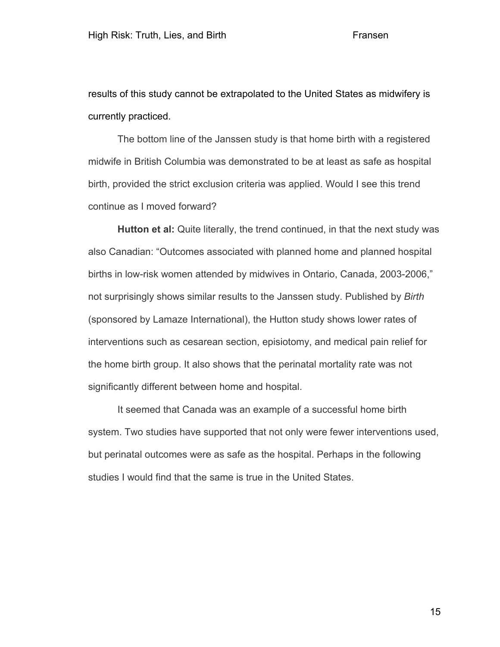results of this study cannot be extrapolated to the United States as midwifery is currently practiced.

The bottom line of the Janssen study is that home birth with a registered midwife in British Columbia was demonstrated to be at least as safe as hospital birth, provided the strict exclusion criteria was applied. Would I see this trend continue as I moved forward?

**Hutton et al:** Quite literally, the trend continued, in that the next study was also Canadian: "Outcomes associated with planned home and planned hospital births in low-risk women attended by midwives in Ontario, Canada, 2003-2006," not surprisingly shows similar results to the Janssen study. Published by *Birth* (sponsored by Lamaze International), the Hutton study shows lower rates of interventions such as cesarean section, episiotomy, and medical pain relief for the home birth group. It also shows that the perinatal mortality rate was not significantly different between home and hospital.

It seemed that Canada was an example of a successful home birth system. Two studies have supported that not only were fewer interventions used, but perinatal outcomes were as safe as the hospital. Perhaps in the following studies I would find that the same is true in the United States.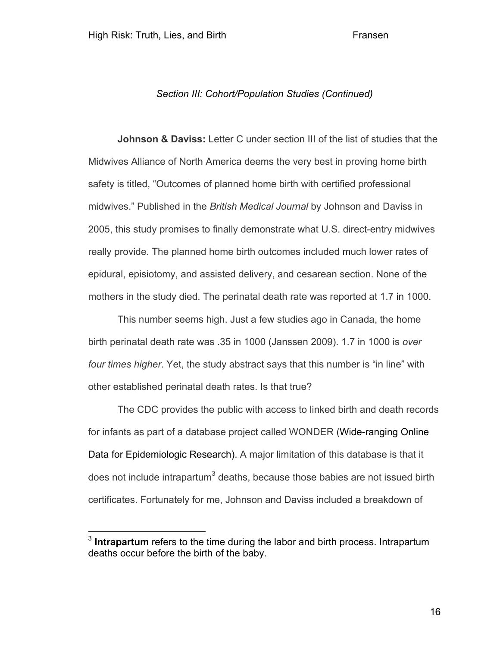# *Section III: Cohort/Population Studies (Continued)*

**Johnson & Daviss:** Letter C under section III of the list of studies that the Midwives Alliance of North America deems the very best in proving home birth safety is titled, "Outcomes of planned home birth with certified professional midwives." Published in the *British Medical Journal* by Johnson and Daviss in 2005, this study promises to finally demonstrate what U.S. direct-entry midwives really provide. The planned home birth outcomes included much lower rates of epidural, episiotomy, and assisted delivery, and cesarean section. None of the mothers in the study died. The perinatal death rate was reported at 1.7 in 1000.

This number seems high. Just a few studies ago in Canada, the home birth perinatal death rate was .35 in 1000 (Janssen 2009). 1.7 in 1000 is *over four times higher*. Yet, the study abstract says that this number is "in line" with other established perinatal death rates. Is that true?

The CDC provides the public with access to linked birth and death records for infants as part of a database project called WONDER (Wide-ranging Online Data for Epidemiologic Research). A major limitation of this database is that it does not include intrapartum $3$  deaths, because those babies are not issued birth certificates. Fortunately for me, Johnson and Daviss included a breakdown of

 <sup>3</sup> **Intrapartum** refers to the time during the labor and birth process. Intrapartum deaths occur before the birth of the baby.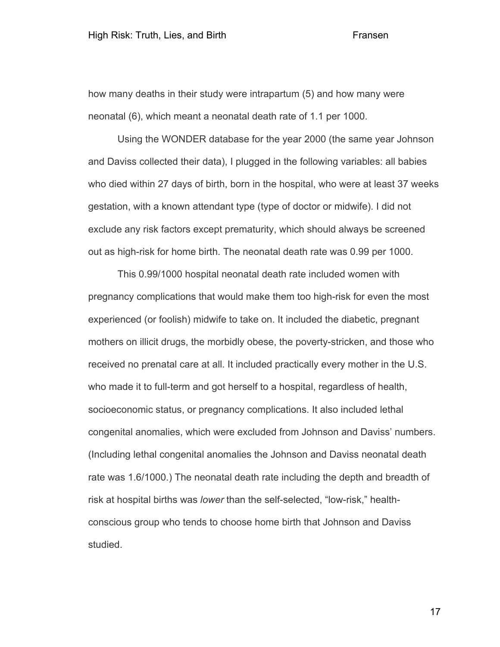how many deaths in their study were intrapartum (5) and how many were neonatal (6), which meant a neonatal death rate of 1.1 per 1000.

Using the WONDER database for the year 2000 (the same year Johnson and Daviss collected their data), I plugged in the following variables: all babies who died within 27 days of birth, born in the hospital, who were at least 37 weeks gestation, with a known attendant type (type of doctor or midwife). I did not exclude any risk factors except prematurity, which should always be screened out as high-risk for home birth. The neonatal death rate was 0.99 per 1000.

This 0.99/1000 hospital neonatal death rate included women with pregnancy complications that would make them too high-risk for even the most experienced (or foolish) midwife to take on. It included the diabetic, pregnant mothers on illicit drugs, the morbidly obese, the poverty-stricken, and those who received no prenatal care at all. It included practically every mother in the U.S. who made it to full-term and got herself to a hospital, regardless of health, socioeconomic status, or pregnancy complications. It also included lethal congenital anomalies, which were excluded from Johnson and Daviss' numbers. (Including lethal congenital anomalies the Johnson and Daviss neonatal death rate was 1.6/1000.) The neonatal death rate including the depth and breadth of risk at hospital births was *lower* than the self-selected, "low-risk," healthconscious group who tends to choose home birth that Johnson and Daviss studied.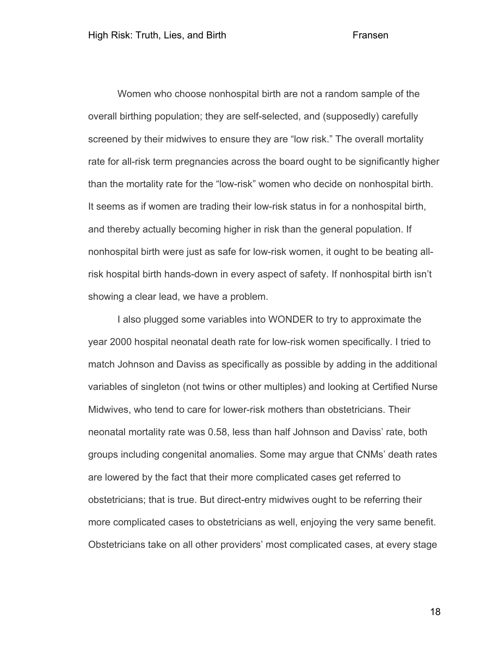Women who choose nonhospital birth are not a random sample of the overall birthing population; they are self-selected, and (supposedly) carefully screened by their midwives to ensure they are "low risk." The overall mortality rate for all-risk term pregnancies across the board ought to be significantly higher than the mortality rate for the "low-risk" women who decide on nonhospital birth. It seems as if women are trading their low-risk status in for a nonhospital birth, and thereby actually becoming higher in risk than the general population. If nonhospital birth were just as safe for low-risk women, it ought to be beating allrisk hospital birth hands-down in every aspect of safety. If nonhospital birth isn't showing a clear lead, we have a problem.

I also plugged some variables into WONDER to try to approximate the year 2000 hospital neonatal death rate for low-risk women specifically. I tried to match Johnson and Daviss as specifically as possible by adding in the additional variables of singleton (not twins or other multiples) and looking at Certified Nurse Midwives, who tend to care for lower-risk mothers than obstetricians. Their neonatal mortality rate was 0.58, less than half Johnson and Daviss' rate, both groups including congenital anomalies. Some may argue that CNMs' death rates are lowered by the fact that their more complicated cases get referred to obstetricians; that is true. But direct-entry midwives ought to be referring their more complicated cases to obstetricians as well, enjoying the very same benefit. Obstetricians take on all other providers' most complicated cases, at every stage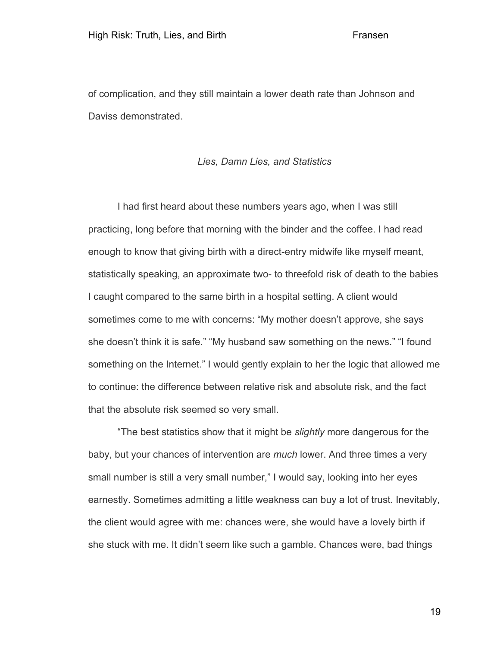of complication, and they still maintain a lower death rate than Johnson and Daviss demonstrated.

# *Lies, Damn Lies, and Statistics*

I had first heard about these numbers years ago, when I was still practicing, long before that morning with the binder and the coffee. I had read enough to know that giving birth with a direct-entry midwife like myself meant, statistically speaking, an approximate two- to threefold risk of death to the babies I caught compared to the same birth in a hospital setting. A client would sometimes come to me with concerns: "My mother doesn't approve, she says she doesn't think it is safe." "My husband saw something on the news." "I found something on the Internet." I would gently explain to her the logic that allowed me to continue: the difference between relative risk and absolute risk, and the fact that the absolute risk seemed so very small.

"The best statistics show that it might be *slightly* more dangerous for the baby, but your chances of intervention are *much* lower. And three times a very small number is still a very small number," I would say, looking into her eyes earnestly. Sometimes admitting a little weakness can buy a lot of trust. Inevitably, the client would agree with me: chances were, she would have a lovely birth if she stuck with me. It didn't seem like such a gamble. Chances were, bad things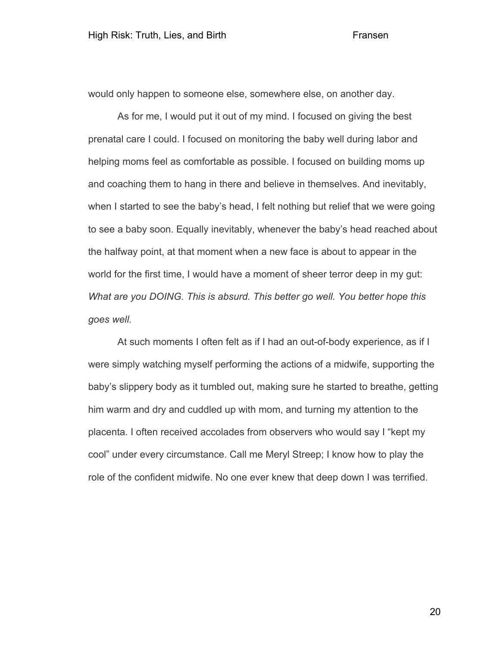would only happen to someone else, somewhere else, on another day.

As for me, I would put it out of my mind. I focused on giving the best prenatal care I could. I focused on monitoring the baby well during labor and helping moms feel as comfortable as possible. I focused on building moms up and coaching them to hang in there and believe in themselves. And inevitably, when I started to see the baby's head, I felt nothing but relief that we were going to see a baby soon. Equally inevitably, whenever the baby's head reached about the halfway point, at that moment when a new face is about to appear in the world for the first time, I would have a moment of sheer terror deep in my gut: *What are you DOING. This is absurd. This better go well. You better hope this goes well.*

At such moments I often felt as if I had an out-of-body experience, as if I were simply watching myself performing the actions of a midwife, supporting the baby's slippery body as it tumbled out, making sure he started to breathe, getting him warm and dry and cuddled up with mom, and turning my attention to the placenta. I often received accolades from observers who would say I "kept my cool" under every circumstance. Call me Meryl Streep; I know how to play the role of the confident midwife. No one ever knew that deep down I was terrified.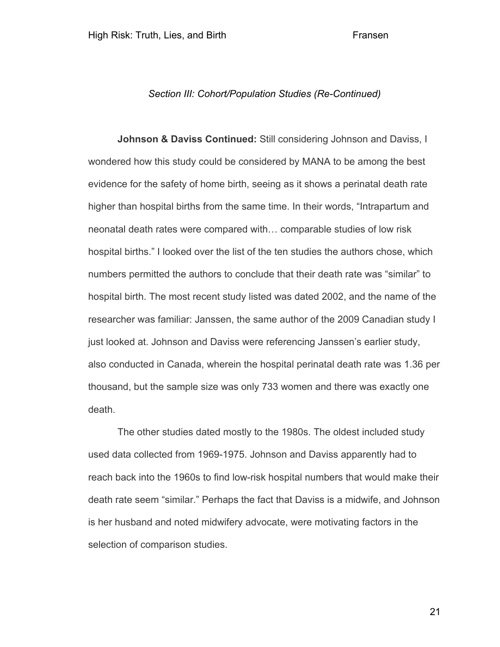# *Section III: Cohort/Population Studies (Re-Continued)*

**Johnson & Daviss Continued:** Still considering Johnson and Daviss, I wondered how this study could be considered by MANA to be among the best evidence for the safety of home birth, seeing as it shows a perinatal death rate higher than hospital births from the same time. In their words, "Intrapartum and neonatal death rates were compared with… comparable studies of low risk hospital births." I looked over the list of the ten studies the authors chose, which numbers permitted the authors to conclude that their death rate was "similar" to hospital birth. The most recent study listed was dated 2002, and the name of the researcher was familiar: Janssen, the same author of the 2009 Canadian study I just looked at. Johnson and Daviss were referencing Janssen's earlier study, also conducted in Canada, wherein the hospital perinatal death rate was 1.36 per thousand, but the sample size was only 733 women and there was exactly one death.

The other studies dated mostly to the 1980s. The oldest included study used data collected from 1969-1975. Johnson and Daviss apparently had to reach back into the 1960s to find low-risk hospital numbers that would make their death rate seem "similar." Perhaps the fact that Daviss is a midwife, and Johnson is her husband and noted midwifery advocate, were motivating factors in the selection of comparison studies.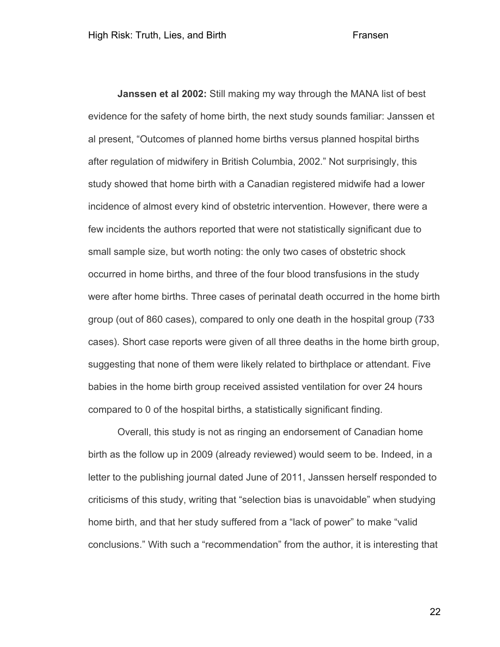**Janssen et al 2002:** Still making my way through the MANA list of best evidence for the safety of home birth, the next study sounds familiar: Janssen et al present, "Outcomes of planned home births versus planned hospital births after regulation of midwifery in British Columbia, 2002." Not surprisingly, this study showed that home birth with a Canadian registered midwife had a lower incidence of almost every kind of obstetric intervention. However, there were a few incidents the authors reported that were not statistically significant due to small sample size, but worth noting: the only two cases of obstetric shock occurred in home births, and three of the four blood transfusions in the study were after home births. Three cases of perinatal death occurred in the home birth group (out of 860 cases), compared to only one death in the hospital group (733 cases). Short case reports were given of all three deaths in the home birth group, suggesting that none of them were likely related to birthplace or attendant. Five babies in the home birth group received assisted ventilation for over 24 hours compared to 0 of the hospital births, a statistically significant finding.

Overall, this study is not as ringing an endorsement of Canadian home birth as the follow up in 2009 (already reviewed) would seem to be. Indeed, in a letter to the publishing journal dated June of 2011, Janssen herself responded to criticisms of this study, writing that "selection bias is unavoidable" when studying home birth, and that her study suffered from a "lack of power" to make "valid conclusions." With such a "recommendation" from the author, it is interesting that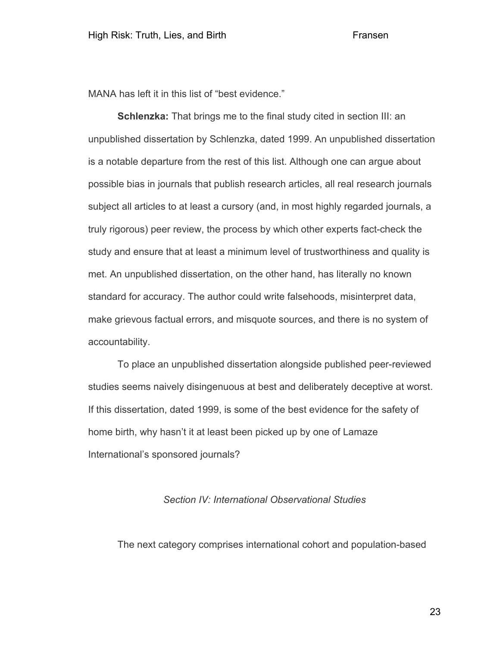MANA has left it in this list of "best evidence."

**Schlenzka:** That brings me to the final study cited in section III: an unpublished dissertation by Schlenzka, dated 1999. An unpublished dissertation is a notable departure from the rest of this list. Although one can argue about possible bias in journals that publish research articles, all real research journals subject all articles to at least a cursory (and, in most highly regarded journals, a truly rigorous) peer review, the process by which other experts fact-check the study and ensure that at least a minimum level of trustworthiness and quality is met. An unpublished dissertation, on the other hand, has literally no known standard for accuracy. The author could write falsehoods, misinterpret data, make grievous factual errors, and misquote sources, and there is no system of accountability.

To place an unpublished dissertation alongside published peer-reviewed studies seems naively disingenuous at best and deliberately deceptive at worst. If this dissertation, dated 1999, is some of the best evidence for the safety of home birth, why hasn't it at least been picked up by one of Lamaze International's sponsored journals?

# *Section IV: International Observational Studies*

The next category comprises international cohort and population-based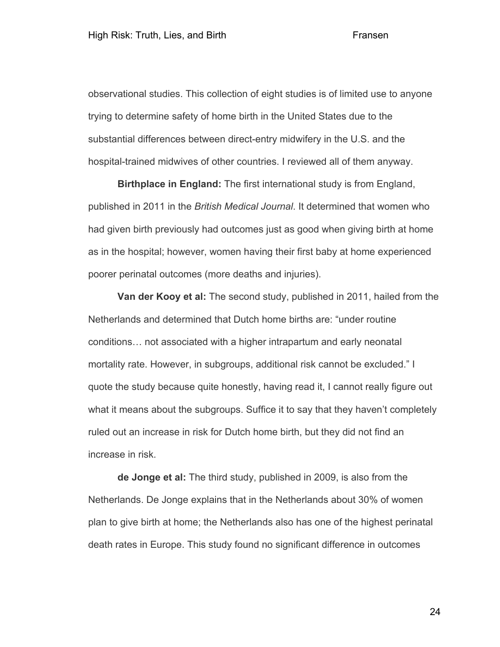observational studies. This collection of eight studies is of limited use to anyone trying to determine safety of home birth in the United States due to the substantial differences between direct-entry midwifery in the U.S. and the hospital-trained midwives of other countries. I reviewed all of them anyway.

**Birthplace in England:** The first international study is from England, published in 2011 in the *British Medical Journal*. It determined that women who had given birth previously had outcomes just as good when giving birth at home as in the hospital; however, women having their first baby at home experienced poorer perinatal outcomes (more deaths and injuries).

**Van der Kooy et al:** The second study, published in 2011, hailed from the Netherlands and determined that Dutch home births are: "under routine conditions… not associated with a higher intrapartum and early neonatal mortality rate. However, in subgroups, additional risk cannot be excluded." I quote the study because quite honestly, having read it, I cannot really figure out what it means about the subgroups. Suffice it to say that they haven't completely ruled out an increase in risk for Dutch home birth, but they did not find an increase in risk.

**de Jonge et al:** The third study, published in 2009, is also from the Netherlands. De Jonge explains that in the Netherlands about 30% of women plan to give birth at home; the Netherlands also has one of the highest perinatal death rates in Europe. This study found no significant difference in outcomes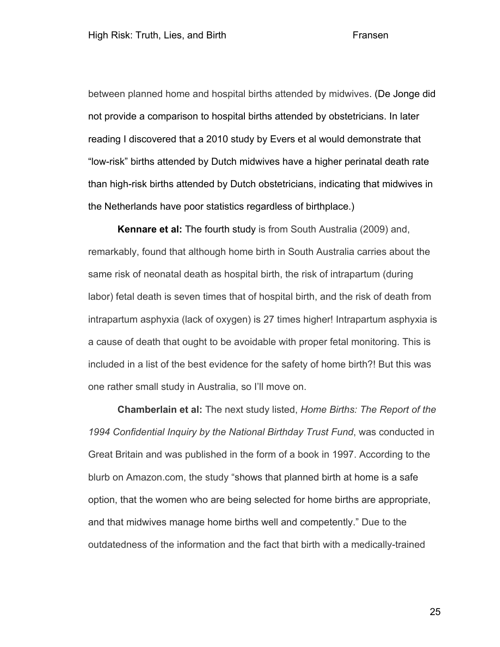between planned home and hospital births attended by midwives. (De Jonge did not provide a comparison to hospital births attended by obstetricians. In later reading I discovered that a 2010 study by Evers et al would demonstrate that "low-risk" births attended by Dutch midwives have a higher perinatal death rate than high-risk births attended by Dutch obstetricians, indicating that midwives in the Netherlands have poor statistics regardless of birthplace.)

**Kennare et al:** The fourth study is from South Australia (2009) and, remarkably, found that although home birth in South Australia carries about the same risk of neonatal death as hospital birth, the risk of intrapartum (during labor) fetal death is seven times that of hospital birth, and the risk of death from intrapartum asphyxia (lack of oxygen) is 27 times higher! Intrapartum asphyxia is a cause of death that ought to be avoidable with proper fetal monitoring. This is included in a list of the best evidence for the safety of home birth?! But this was one rather small study in Australia, so I'll move on.

**Chamberlain et al:** The next study listed, *Home Births: The Report of the 1994 Confidential Inquiry by the National Birthday Trust Fund*, was conducted in Great Britain and was published in the form of a book in 1997. According to the blurb on Amazon.com, the study "shows that planned birth at home is a safe option, that the women who are being selected for home births are appropriate, and that midwives manage home births well and competently." Due to the outdatedness of the information and the fact that birth with a medically-trained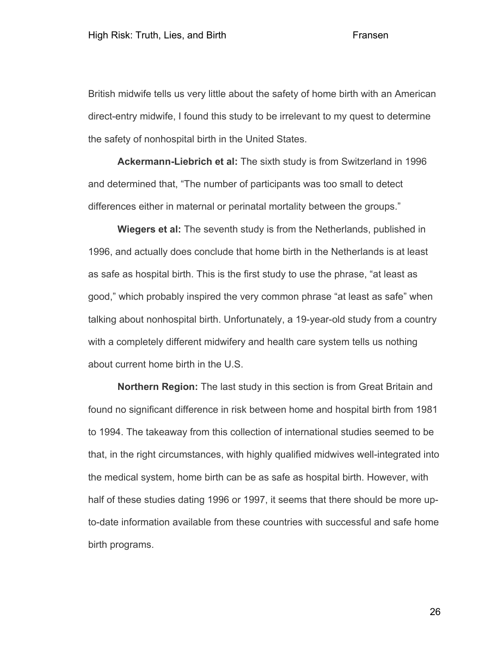British midwife tells us very little about the safety of home birth with an American direct-entry midwife, I found this study to be irrelevant to my quest to determine the safety of nonhospital birth in the United States.

**Ackermann-Liebrich et al:** The sixth study is from Switzerland in 1996 and determined that, "The number of participants was too small to detect differences either in maternal or perinatal mortality between the groups."

**Wiegers et al:** The seventh study is from the Netherlands, published in 1996, and actually does conclude that home birth in the Netherlands is at least as safe as hospital birth. This is the first study to use the phrase, "at least as good," which probably inspired the very common phrase "at least as safe" when talking about nonhospital birth. Unfortunately, a 19-year-old study from a country with a completely different midwifery and health care system tells us nothing about current home birth in the U.S.

**Northern Region:** The last study in this section is from Great Britain and found no significant difference in risk between home and hospital birth from 1981 to 1994. The takeaway from this collection of international studies seemed to be that, in the right circumstances, with highly qualified midwives well-integrated into the medical system, home birth can be as safe as hospital birth. However, with half of these studies dating 1996 or 1997, it seems that there should be more upto-date information available from these countries with successful and safe home birth programs.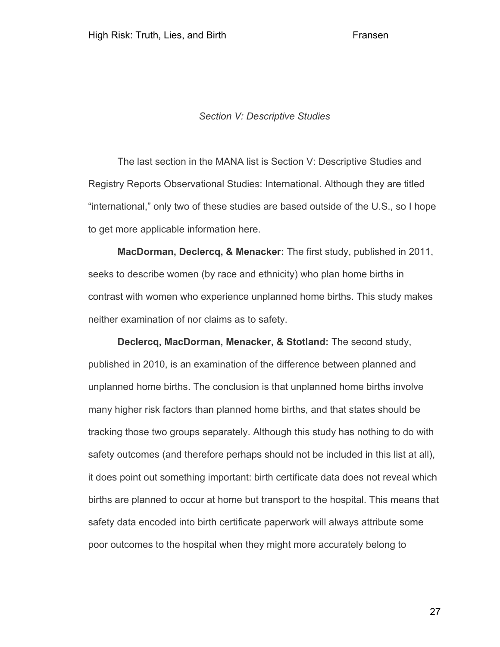# *Section V: Descriptive Studies*

The last section in the MANA list is Section V: Descriptive Studies and Registry Reports Observational Studies: International. Although they are titled "international," only two of these studies are based outside of the U.S., so I hope to get more applicable information here.

**MacDorman, Declercq, & Menacker:** The first study, published in 2011, seeks to describe women (by race and ethnicity) who plan home births in contrast with women who experience unplanned home births. This study makes neither examination of nor claims as to safety.

**Declercq, MacDorman, Menacker, & Stotland:** The second study, published in 2010, is an examination of the difference between planned and unplanned home births. The conclusion is that unplanned home births involve many higher risk factors than planned home births, and that states should be tracking those two groups separately. Although this study has nothing to do with safety outcomes (and therefore perhaps should not be included in this list at all), it does point out something important: birth certificate data does not reveal which births are planned to occur at home but transport to the hospital. This means that safety data encoded into birth certificate paperwork will always attribute some poor outcomes to the hospital when they might more accurately belong to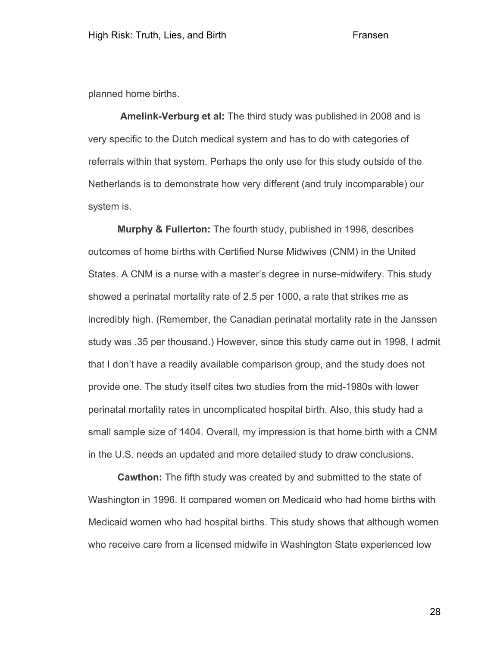planned home births.

**Amelink-Verburg et al:** The third study was published in 2008 and is very specific to the Dutch medical system and has to do with categories of referrals within that system. Perhaps the only use for this study outside of the Netherlands is to demonstrate how very different (and truly incomparable) our system is.

**Murphy & Fullerton:** The fourth study, published in 1998, describes outcomes of home births with Certified Nurse Midwives (CNM) in the United States. A CNM is a nurse with a master's degree in nurse-midwifery. This study showed a perinatal mortality rate of 2.5 per 1000, a rate that strikes me as incredibly high. (Remember, the Canadian perinatal mortality rate in the Janssen study was .35 per thousand.) However, since this study came out in 1998, I admit that I don't have a readily available comparison group, and the study does not provide one. The study itself cites two studies from the mid-1980s with lower perinatal mortality rates in uncomplicated hospital birth. Also, this study had a small sample size of 1404. Overall, my impression is that home birth with a CNM in the U.S. needs an updated and more detailed study to draw conclusions.

**Cawthon:** The fifth study was created by and submitted to the state of Washington in 1996. It compared women on Medicaid who had home births with Medicaid women who had hospital births. This study shows that although women who receive care from a licensed midwife in Washington State experienced low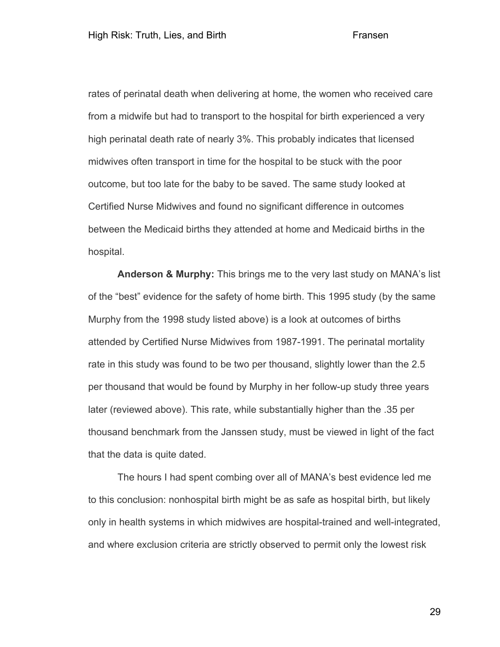rates of perinatal death when delivering at home, the women who received care from a midwife but had to transport to the hospital for birth experienced a very high perinatal death rate of nearly 3%. This probably indicates that licensed midwives often transport in time for the hospital to be stuck with the poor outcome, but too late for the baby to be saved. The same study looked at Certified Nurse Midwives and found no significant difference in outcomes between the Medicaid births they attended at home and Medicaid births in the hospital.

**Anderson & Murphy:** This brings me to the very last study on MANA's list of the "best" evidence for the safety of home birth. This 1995 study (by the same Murphy from the 1998 study listed above) is a look at outcomes of births attended by Certified Nurse Midwives from 1987-1991. The perinatal mortality rate in this study was found to be two per thousand, slightly lower than the 2.5 per thousand that would be found by Murphy in her follow-up study three years later (reviewed above). This rate, while substantially higher than the .35 per thousand benchmark from the Janssen study, must be viewed in light of the fact that the data is quite dated.

The hours I had spent combing over all of MANA's best evidence led me to this conclusion: nonhospital birth might be as safe as hospital birth, but likely only in health systems in which midwives are hospital-trained and well-integrated, and where exclusion criteria are strictly observed to permit only the lowest risk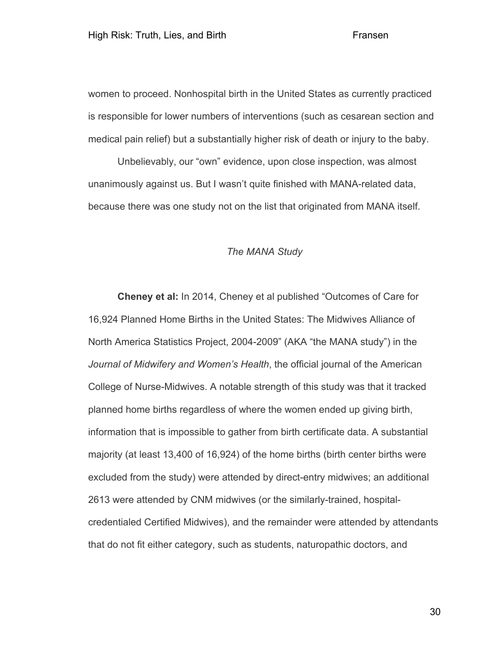women to proceed. Nonhospital birth in the United States as currently practiced is responsible for lower numbers of interventions (such as cesarean section and medical pain relief) but a substantially higher risk of death or injury to the baby.

Unbelievably, our "own" evidence, upon close inspection, was almost unanimously against us. But I wasn't quite finished with MANA-related data, because there was one study not on the list that originated from MANA itself.

# *The MANA Study*

**Cheney et al:** In 2014, Cheney et al published "Outcomes of Care for 16,924 Planned Home Births in the United States: The Midwives Alliance of North America Statistics Project, 2004-2009" (AKA "the MANA study") in the *Journal of Midwifery and Women's Health*, the official journal of the American College of Nurse-Midwives. A notable strength of this study was that it tracked planned home births regardless of where the women ended up giving birth, information that is impossible to gather from birth certificate data. A substantial majority (at least 13,400 of 16,924) of the home births (birth center births were excluded from the study) were attended by direct-entry midwives; an additional 2613 were attended by CNM midwives (or the similarly-trained, hospitalcredentialed Certified Midwives), and the remainder were attended by attendants that do not fit either category, such as students, naturopathic doctors, and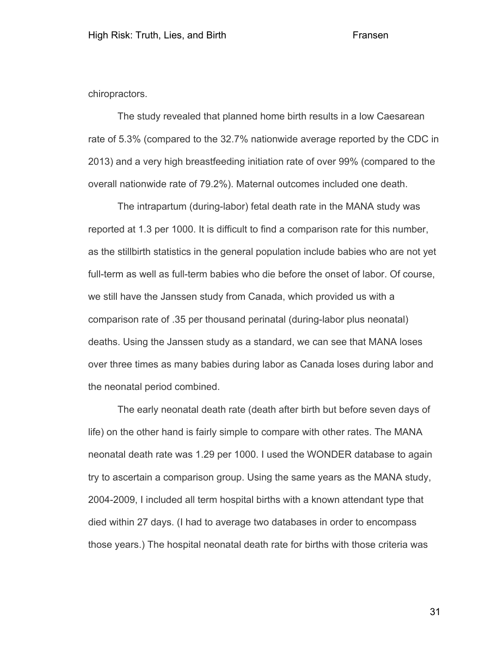chiropractors.

The study revealed that planned home birth results in a low Caesarean rate of 5.3% (compared to the 32.7% nationwide average reported by the CDC in 2013) and a very high breastfeeding initiation rate of over 99% (compared to the overall nationwide rate of 79.2%). Maternal outcomes included one death.

The intrapartum (during-labor) fetal death rate in the MANA study was reported at 1.3 per 1000. It is difficult to find a comparison rate for this number, as the stillbirth statistics in the general population include babies who are not yet full-term as well as full-term babies who die before the onset of labor. Of course, we still have the Janssen study from Canada, which provided us with a comparison rate of .35 per thousand perinatal (during-labor plus neonatal) deaths. Using the Janssen study as a standard, we can see that MANA loses over three times as many babies during labor as Canada loses during labor and the neonatal period combined.

The early neonatal death rate (death after birth but before seven days of life) on the other hand is fairly simple to compare with other rates. The MANA neonatal death rate was 1.29 per 1000. I used the WONDER database to again try to ascertain a comparison group. Using the same years as the MANA study, 2004-2009, I included all term hospital births with a known attendant type that died within 27 days. (I had to average two databases in order to encompass those years.) The hospital neonatal death rate for births with those criteria was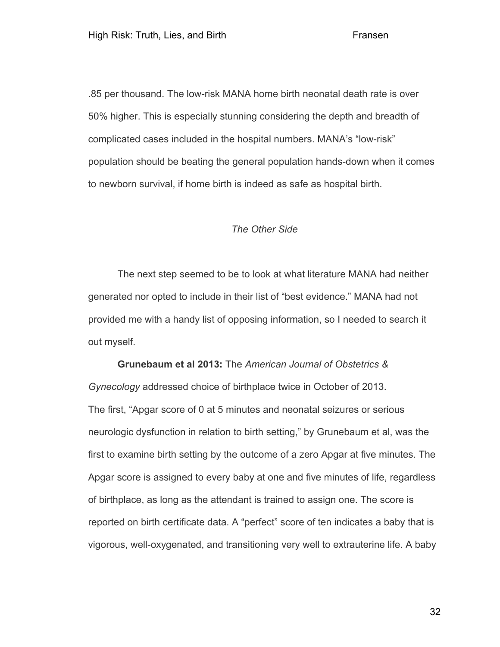.85 per thousand. The low-risk MANA home birth neonatal death rate is over 50% higher. This is especially stunning considering the depth and breadth of complicated cases included in the hospital numbers. MANA's "low-risk" population should be beating the general population hands-down when it comes to newborn survival, if home birth is indeed as safe as hospital birth.

## *The Other Side*

The next step seemed to be to look at what literature MANA had neither generated nor opted to include in their list of "best evidence." MANA had not provided me with a handy list of opposing information, so I needed to search it out myself.

**Grunebaum et al 2013:** The *American Journal of Obstetrics & Gynecology* addressed choice of birthplace twice in October of 2013. The first, "Apgar score of 0 at 5 minutes and neonatal seizures or serious neurologic dysfunction in relation to birth setting," by Grunebaum et al, was the first to examine birth setting by the outcome of a zero Apgar at five minutes. The Apgar score is assigned to every baby at one and five minutes of life, regardless of birthplace, as long as the attendant is trained to assign one. The score is reported on birth certificate data. A "perfect" score of ten indicates a baby that is vigorous, well-oxygenated, and transitioning very well to extrauterine life. A baby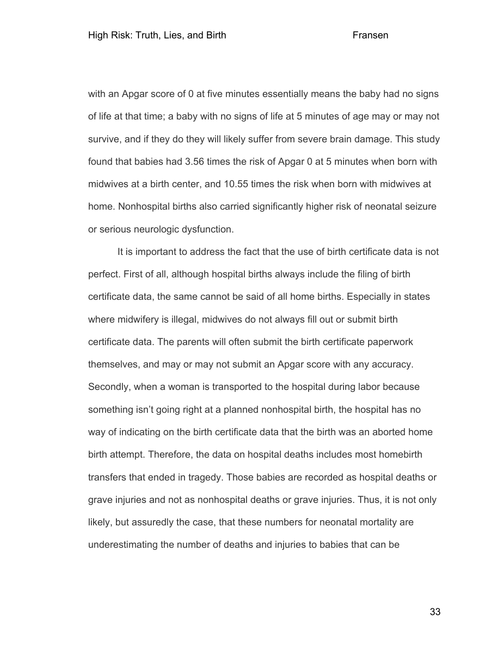with an Apgar score of 0 at five minutes essentially means the baby had no signs of life at that time; a baby with no signs of life at 5 minutes of age may or may not survive, and if they do they will likely suffer from severe brain damage. This study found that babies had 3.56 times the risk of Apgar 0 at 5 minutes when born with midwives at a birth center, and 10.55 times the risk when born with midwives at home. Nonhospital births also carried significantly higher risk of neonatal seizure or serious neurologic dysfunction.

It is important to address the fact that the use of birth certificate data is not perfect. First of all, although hospital births always include the filing of birth certificate data, the same cannot be said of all home births. Especially in states where midwifery is illegal, midwives do not always fill out or submit birth certificate data. The parents will often submit the birth certificate paperwork themselves, and may or may not submit an Apgar score with any accuracy. Secondly, when a woman is transported to the hospital during labor because something isn't going right at a planned nonhospital birth, the hospital has no way of indicating on the birth certificate data that the birth was an aborted home birth attempt. Therefore, the data on hospital deaths includes most homebirth transfers that ended in tragedy. Those babies are recorded as hospital deaths or grave injuries and not as nonhospital deaths or grave injuries. Thus, it is not only likely, but assuredly the case, that these numbers for neonatal mortality are underestimating the number of deaths and injuries to babies that can be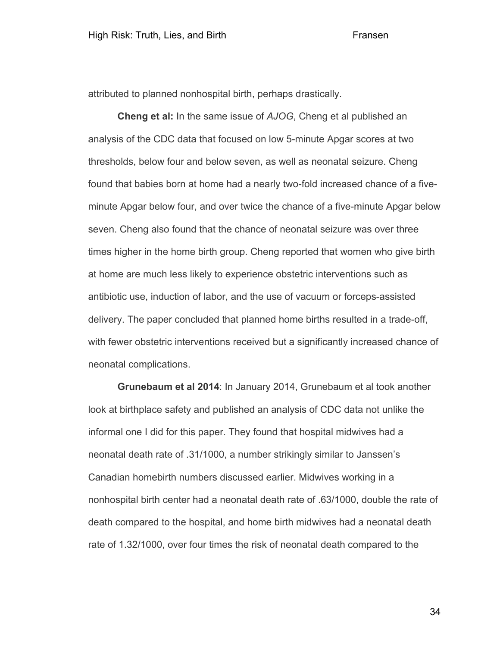attributed to planned nonhospital birth, perhaps drastically.

**Cheng et al:** In the same issue of *AJOG*, Cheng et al published an analysis of the CDC data that focused on low 5-minute Apgar scores at two thresholds, below four and below seven, as well as neonatal seizure. Cheng found that babies born at home had a nearly two-fold increased chance of a fiveminute Apgar below four, and over twice the chance of a five-minute Apgar below seven. Cheng also found that the chance of neonatal seizure was over three times higher in the home birth group. Cheng reported that women who give birth at home are much less likely to experience obstetric interventions such as antibiotic use, induction of labor, and the use of vacuum or forceps-assisted delivery. The paper concluded that planned home births resulted in a trade-off, with fewer obstetric interventions received but a significantly increased chance of neonatal complications.

**Grunebaum et al 2014**: In January 2014, Grunebaum et al took another look at birthplace safety and published an analysis of CDC data not unlike the informal one I did for this paper. They found that hospital midwives had a neonatal death rate of .31/1000, a number strikingly similar to Janssen's Canadian homebirth numbers discussed earlier. Midwives working in a nonhospital birth center had a neonatal death rate of .63/1000, double the rate of death compared to the hospital, and home birth midwives had a neonatal death rate of 1.32/1000, over four times the risk of neonatal death compared to the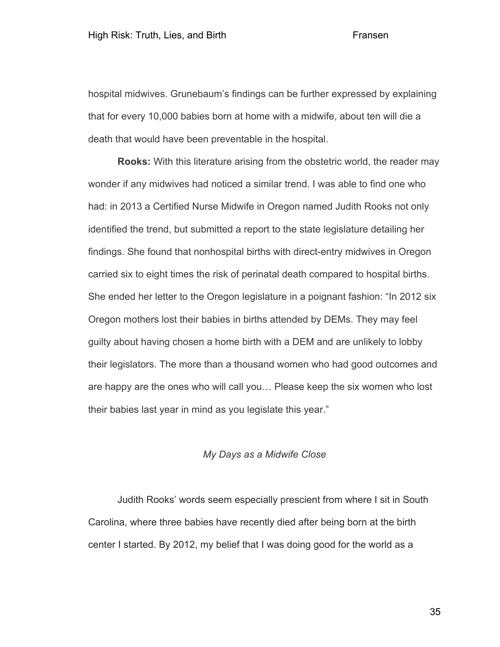hospital midwives. Grunebaum's findings can be further expressed by explaining that for every 10,000 babies born at home with a midwife, about ten will die a death that would have been preventable in the hospital.

**Rooks:** With this literature arising from the obstetric world, the reader may wonder if any midwives had noticed a similar trend. I was able to find one who had: in 2013 a Certified Nurse Midwife in Oregon named Judith Rooks not only identified the trend, but submitted a report to the state legislature detailing her findings. She found that nonhospital births with direct-entry midwives in Oregon carried six to eight times the risk of perinatal death compared to hospital births. She ended her letter to the Oregon legislature in a poignant fashion: "In 2012 six Oregon mothers lost their babies in births attended by DEMs. They may feel guilty about having chosen a home birth with a DEM and are unlikely to lobby their legislators. The more than a thousand women who had good outcomes and are happy are the ones who will call you… Please keep the six women who lost their babies last year in mind as you legislate this year."

# *My Days as a Midwife Close*

Judith Rooks' words seem especially prescient from where I sit in South Carolina, where three babies have recently died after being born at the birth center I started. By 2012, my belief that I was doing good for the world as a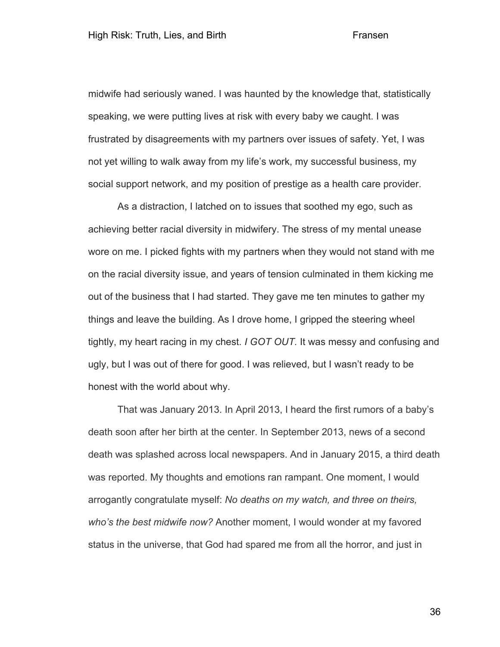midwife had seriously waned. I was haunted by the knowledge that, statistically speaking, we were putting lives at risk with every baby we caught. I was frustrated by disagreements with my partners over issues of safety. Yet, I was not yet willing to walk away from my life's work, my successful business, my social support network, and my position of prestige as a health care provider.

As a distraction, I latched on to issues that soothed my ego, such as achieving better racial diversity in midwifery. The stress of my mental unease wore on me. I picked fights with my partners when they would not stand with me on the racial diversity issue, and years of tension culminated in them kicking me out of the business that I had started. They gave me ten minutes to gather my things and leave the building. As I drove home, I gripped the steering wheel tightly, my heart racing in my chest. *I GOT OUT.* It was messy and confusing and ugly, but I was out of there for good. I was relieved, but I wasn't ready to be honest with the world about why.

That was January 2013. In April 2013, I heard the first rumors of a baby's death soon after her birth at the center. In September 2013, news of a second death was splashed across local newspapers. And in January 2015, a third death was reported. My thoughts and emotions ran rampant. One moment, I would arrogantly congratulate myself: *No deaths on my watch, and three on theirs, who's the best midwife now?* Another moment, I would wonder at my favored status in the universe, that God had spared me from all the horror, and just in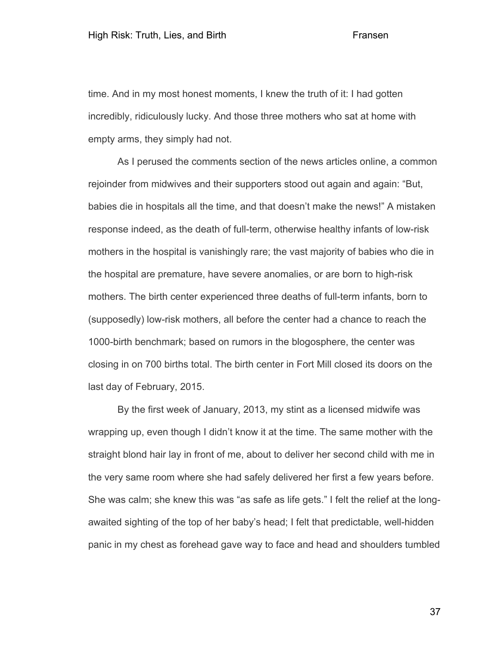time. And in my most honest moments, I knew the truth of it: I had gotten incredibly, ridiculously lucky. And those three mothers who sat at home with empty arms, they simply had not.

As I perused the comments section of the news articles online, a common rejoinder from midwives and their supporters stood out again and again: "But, babies die in hospitals all the time, and that doesn't make the news!" A mistaken response indeed, as the death of full-term, otherwise healthy infants of low-risk mothers in the hospital is vanishingly rare; the vast majority of babies who die in the hospital are premature, have severe anomalies, or are born to high-risk mothers. The birth center experienced three deaths of full-term infants, born to (supposedly) low-risk mothers, all before the center had a chance to reach the 1000-birth benchmark; based on rumors in the blogosphere, the center was closing in on 700 births total. The birth center in Fort Mill closed its doors on the last day of February, 2015.

By the first week of January, 2013, my stint as a licensed midwife was wrapping up, even though I didn't know it at the time. The same mother with the straight blond hair lay in front of me, about to deliver her second child with me in the very same room where she had safely delivered her first a few years before. She was calm; she knew this was "as safe as life gets." I felt the relief at the longawaited sighting of the top of her baby's head; I felt that predictable, well-hidden panic in my chest as forehead gave way to face and head and shoulders tumbled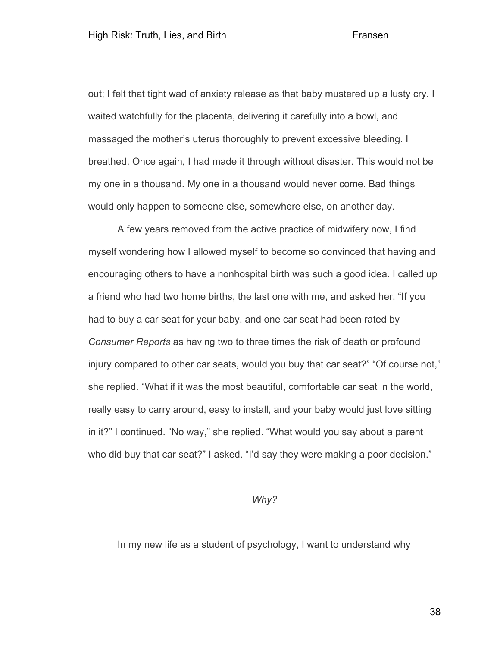out; I felt that tight wad of anxiety release as that baby mustered up a lusty cry. I waited watchfully for the placenta, delivering it carefully into a bowl, and massaged the mother's uterus thoroughly to prevent excessive bleeding. I breathed. Once again, I had made it through without disaster. This would not be my one in a thousand. My one in a thousand would never come. Bad things would only happen to someone else, somewhere else, on another day.

A few years removed from the active practice of midwifery now, I find myself wondering how I allowed myself to become so convinced that having and encouraging others to have a nonhospital birth was such a good idea. I called up a friend who had two home births, the last one with me, and asked her, "If you had to buy a car seat for your baby, and one car seat had been rated by *Consumer Reports* as having two to three times the risk of death or profound injury compared to other car seats, would you buy that car seat?" "Of course not," she replied. "What if it was the most beautiful, comfortable car seat in the world, really easy to carry around, easy to install, and your baby would just love sitting in it?" I continued. "No way," she replied. "What would you say about a parent who did buy that car seat?" I asked. "I'd say they were making a poor decision."

# *Why?*

In my new life as a student of psychology, I want to understand why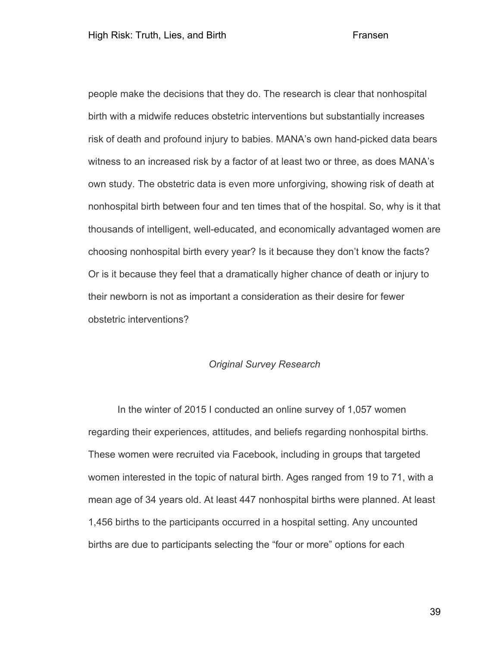people make the decisions that they do. The research is clear that nonhospital birth with a midwife reduces obstetric interventions but substantially increases risk of death and profound injury to babies. MANA's own hand-picked data bears witness to an increased risk by a factor of at least two or three, as does MANA's own study. The obstetric data is even more unforgiving, showing risk of death at nonhospital birth between four and ten times that of the hospital. So, why is it that thousands of intelligent, well-educated, and economically advantaged women are choosing nonhospital birth every year? Is it because they don't know the facts? Or is it because they feel that a dramatically higher chance of death or injury to their newborn is not as important a consideration as their desire for fewer obstetric interventions?

# *Original Survey Research*

In the winter of 2015 I conducted an online survey of 1,057 women regarding their experiences, attitudes, and beliefs regarding nonhospital births. These women were recruited via Facebook, including in groups that targeted women interested in the topic of natural birth. Ages ranged from 19 to 71, with a mean age of 34 years old. At least 447 nonhospital births were planned. At least 1,456 births to the participants occurred in a hospital setting. Any uncounted births are due to participants selecting the "four or more" options for each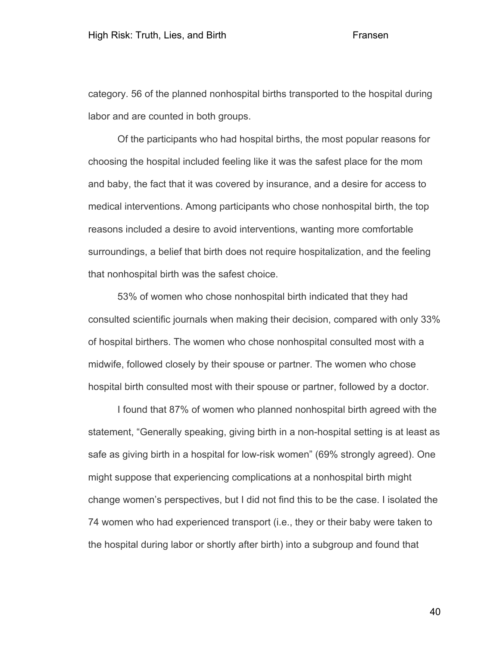category. 56 of the planned nonhospital births transported to the hospital during labor and are counted in both groups.

Of the participants who had hospital births, the most popular reasons for choosing the hospital included feeling like it was the safest place for the mom and baby, the fact that it was covered by insurance, and a desire for access to medical interventions. Among participants who chose nonhospital birth, the top reasons included a desire to avoid interventions, wanting more comfortable surroundings, a belief that birth does not require hospitalization, and the feeling that nonhospital birth was the safest choice.

53% of women who chose nonhospital birth indicated that they had consulted scientific journals when making their decision, compared with only 33% of hospital birthers. The women who chose nonhospital consulted most with a midwife, followed closely by their spouse or partner. The women who chose hospital birth consulted most with their spouse or partner, followed by a doctor.

I found that 87% of women who planned nonhospital birth agreed with the statement, "Generally speaking, giving birth in a non-hospital setting is at least as safe as giving birth in a hospital for low-risk women" (69% strongly agreed). One might suppose that experiencing complications at a nonhospital birth might change women's perspectives, but I did not find this to be the case. I isolated the 74 women who had experienced transport (i.e., they or their baby were taken to the hospital during labor or shortly after birth) into a subgroup and found that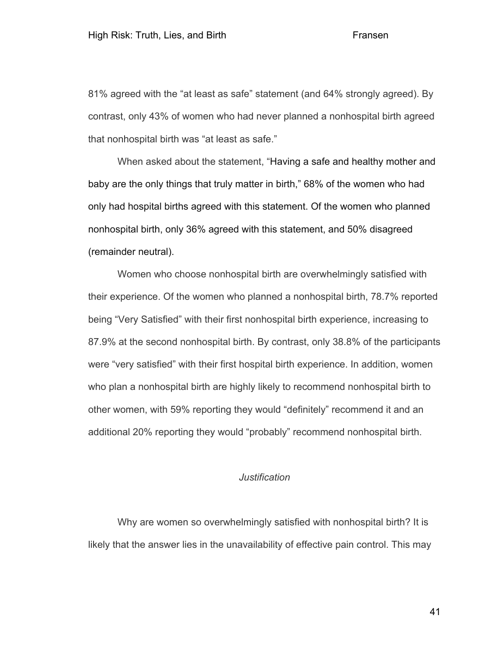81% agreed with the "at least as safe" statement (and 64% strongly agreed). By contrast, only 43% of women who had never planned a nonhospital birth agreed that nonhospital birth was "at least as safe."

When asked about the statement, "Having a safe and healthy mother and baby are the only things that truly matter in birth," 68% of the women who had only had hospital births agreed with this statement. Of the women who planned nonhospital birth, only 36% agreed with this statement, and 50% disagreed (remainder neutral).

Women who choose nonhospital birth are overwhelmingly satisfied with their experience. Of the women who planned a nonhospital birth, 78.7% reported being "Very Satisfied" with their first nonhospital birth experience, increasing to 87.9% at the second nonhospital birth. By contrast, only 38.8% of the participants were "very satisfied" with their first hospital birth experience. In addition, women who plan a nonhospital birth are highly likely to recommend nonhospital birth to other women, with 59% reporting they would "definitely" recommend it and an additional 20% reporting they would "probably" recommend nonhospital birth.

# *Justification*

Why are women so overwhelmingly satisfied with nonhospital birth? It is likely that the answer lies in the unavailability of effective pain control. This may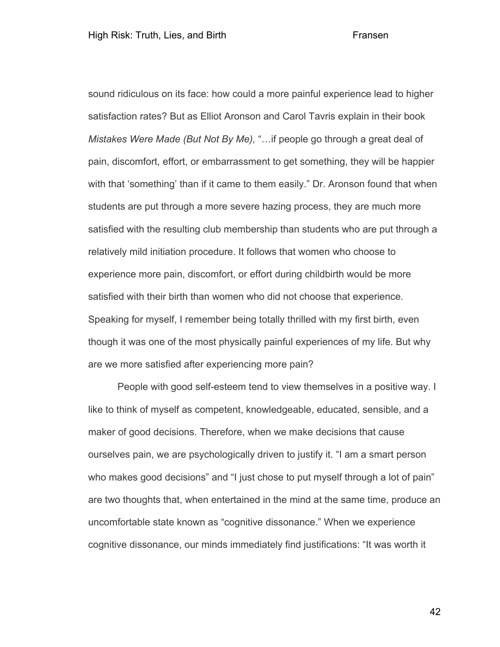sound ridiculous on its face: how could a more painful experience lead to higher satisfaction rates? But as Elliot Aronson and Carol Tavris explain in their book *Mistakes Were Made (But Not By Me),* "…if people go through a great deal of pain, discomfort, effort, or embarrassment to get something, they will be happier with that 'something' than if it came to them easily." Dr. Aronson found that when students are put through a more severe hazing process, they are much more satisfied with the resulting club membership than students who are put through a relatively mild initiation procedure. It follows that women who choose to experience more pain, discomfort, or effort during childbirth would be more satisfied with their birth than women who did not choose that experience. Speaking for myself, I remember being totally thrilled with my first birth, even though it was one of the most physically painful experiences of my life. But why are we more satisfied after experiencing more pain?

People with good self-esteem tend to view themselves in a positive way. I like to think of myself as competent, knowledgeable, educated, sensible, and a maker of good decisions. Therefore, when we make decisions that cause ourselves pain, we are psychologically driven to justify it. "I am a smart person who makes good decisions" and "I just chose to put myself through a lot of pain" are two thoughts that, when entertained in the mind at the same time, produce an uncomfortable state known as "cognitive dissonance." When we experience cognitive dissonance, our minds immediately find justifications: "It was worth it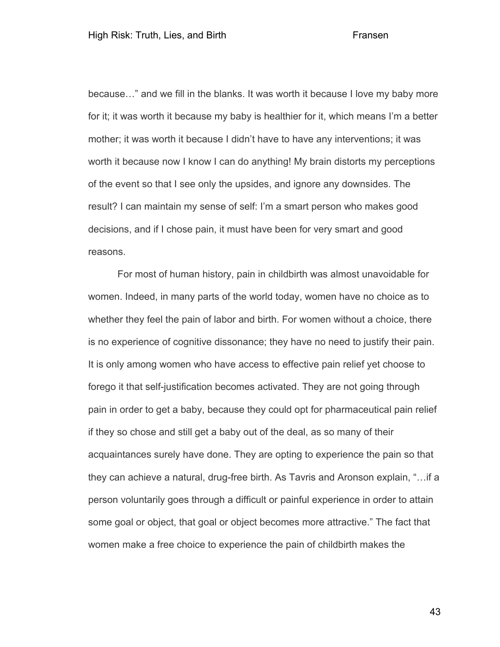because…" and we fill in the blanks. It was worth it because I love my baby more for it; it was worth it because my baby is healthier for it, which means I'm a better mother; it was worth it because I didn't have to have any interventions; it was worth it because now I know I can do anything! My brain distorts my perceptions of the event so that I see only the upsides, and ignore any downsides. The result? I can maintain my sense of self: I'm a smart person who makes good decisions, and if I chose pain, it must have been for very smart and good reasons.

For most of human history, pain in childbirth was almost unavoidable for women. Indeed, in many parts of the world today, women have no choice as to whether they feel the pain of labor and birth. For women without a choice, there is no experience of cognitive dissonance; they have no need to justify their pain. It is only among women who have access to effective pain relief yet choose to forego it that self-justification becomes activated. They are not going through pain in order to get a baby, because they could opt for pharmaceutical pain relief if they so chose and still get a baby out of the deal, as so many of their acquaintances surely have done. They are opting to experience the pain so that they can achieve a natural, drug-free birth. As Tavris and Aronson explain, "…if a person voluntarily goes through a difficult or painful experience in order to attain some goal or object, that goal or object becomes more attractive." The fact that women make a free choice to experience the pain of childbirth makes the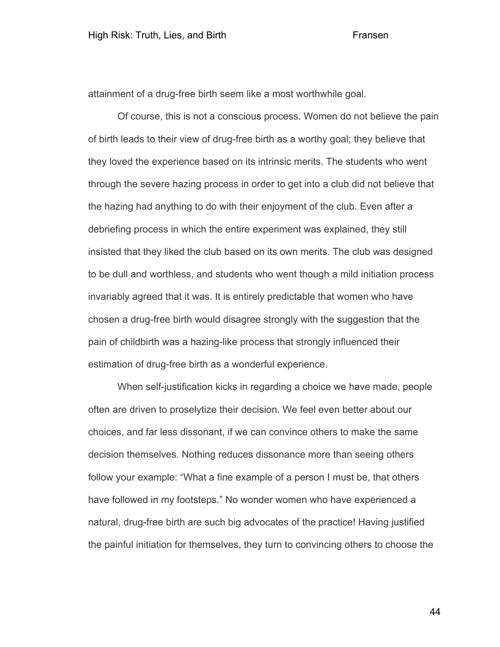attainment of a drug-free birth seem like a most worthwhile goal.

Of course, this is not a conscious process. Women do not believe the pain of birth leads to their view of drug-free birth as a worthy goal; they believe that they loved the experience based on its intrinsic merits. The students who went through the severe hazing process in order to get into a club did not believe that the hazing had anything to do with their enjoyment of the club. Even after a debriefing process in which the entire experiment was explained, they still insisted that they liked the club based on its own merits. The club was designed to be dull and worthless, and students who went though a mild initiation process invariably agreed that it was. It is entirely predictable that women who have chosen a drug-free birth would disagree strongly with the suggestion that the pain of childbirth was a hazing-like process that strongly influenced their estimation of drug-free birth as a wonderful experience.

When self-justification kicks in regarding a choice we have made, people often are driven to proselytize their decision. We feel even better about our choices, and far less dissonant, if we can convince others to make the same decision themselves. Nothing reduces dissonance more than seeing others follow your example: "What a fine example of a person I must be, that others have followed in my footsteps." No wonder women who have experienced a natural, drug-free birth are such big advocates of the practice! Having justified the painful initiation for themselves, they turn to convincing others to choose the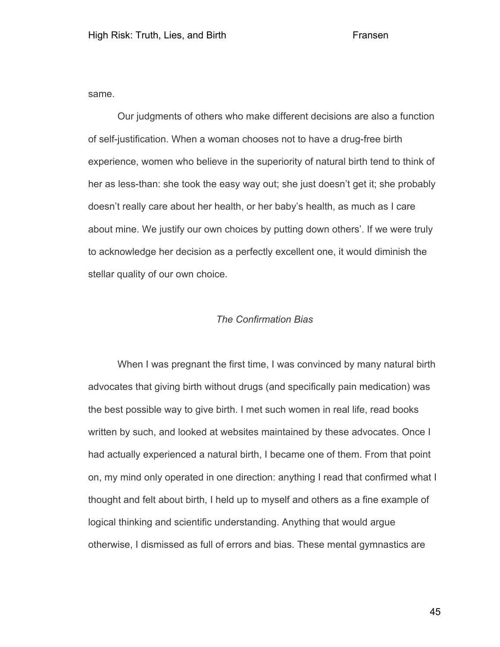same.

Our judgments of others who make different decisions are also a function of self-justification. When a woman chooses not to have a drug-free birth experience, women who believe in the superiority of natural birth tend to think of her as less-than: she took the easy way out; she just doesn't get it; she probably doesn't really care about her health, or her baby's health, as much as I care about mine. We justify our own choices by putting down others'. If we were truly to acknowledge her decision as a perfectly excellent one, it would diminish the stellar quality of our own choice.

## *The Confirmation Bias*

When I was pregnant the first time, I was convinced by many natural birth advocates that giving birth without drugs (and specifically pain medication) was the best possible way to give birth. I met such women in real life, read books written by such, and looked at websites maintained by these advocates. Once I had actually experienced a natural birth, I became one of them. From that point on, my mind only operated in one direction: anything I read that confirmed what I thought and felt about birth, I held up to myself and others as a fine example of logical thinking and scientific understanding. Anything that would argue otherwise, I dismissed as full of errors and bias. These mental gymnastics are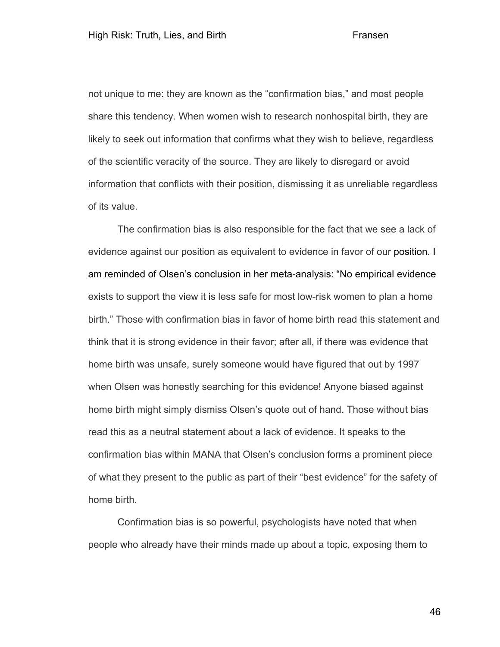not unique to me: they are known as the "confirmation bias," and most people share this tendency. When women wish to research nonhospital birth, they are likely to seek out information that confirms what they wish to believe, regardless of the scientific veracity of the source. They are likely to disregard or avoid information that conflicts with their position, dismissing it as unreliable regardless of its value.

The confirmation bias is also responsible for the fact that we see a lack of evidence against our position as equivalent to evidence in favor of our position. I am reminded of Olsen's conclusion in her meta-analysis: "No empirical evidence exists to support the view it is less safe for most low-risk women to plan a home birth." Those with confirmation bias in favor of home birth read this statement and think that it is strong evidence in their favor; after all, if there was evidence that home birth was unsafe, surely someone would have figured that out by 1997 when Olsen was honestly searching for this evidence! Anyone biased against home birth might simply dismiss Olsen's quote out of hand. Those without bias read this as a neutral statement about a lack of evidence. It speaks to the confirmation bias within MANA that Olsen's conclusion forms a prominent piece of what they present to the public as part of their "best evidence" for the safety of home birth.

Confirmation bias is so powerful, psychologists have noted that when people who already have their minds made up about a topic, exposing them to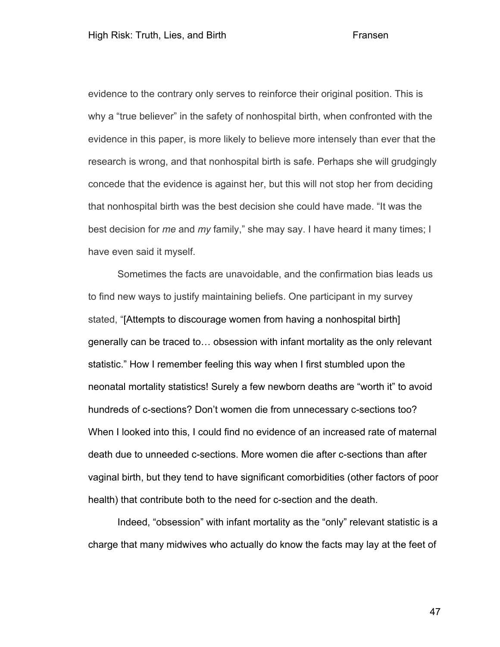evidence to the contrary only serves to reinforce their original position. This is why a "true believer" in the safety of nonhospital birth, when confronted with the evidence in this paper, is more likely to believe more intensely than ever that the research is wrong, and that nonhospital birth is safe. Perhaps she will grudgingly concede that the evidence is against her, but this will not stop her from deciding that nonhospital birth was the best decision she could have made. "It was the best decision for *me* and *my* family," she may say. I have heard it many times; I have even said it myself.

Sometimes the facts are unavoidable, and the confirmation bias leads us to find new ways to justify maintaining beliefs. One participant in my survey stated, "[Attempts to discourage women from having a nonhospital birth] generally can be traced to… obsession with infant mortality as the only relevant statistic." How I remember feeling this way when I first stumbled upon the neonatal mortality statistics! Surely a few newborn deaths are "worth it" to avoid hundreds of c-sections? Don't women die from unnecessary c-sections too? When I looked into this, I could find no evidence of an increased rate of maternal death due to unneeded c-sections. More women die after c-sections than after vaginal birth, but they tend to have significant comorbidities (other factors of poor health) that contribute both to the need for c-section and the death.

Indeed, "obsession" with infant mortality as the "only" relevant statistic is a charge that many midwives who actually do know the facts may lay at the feet of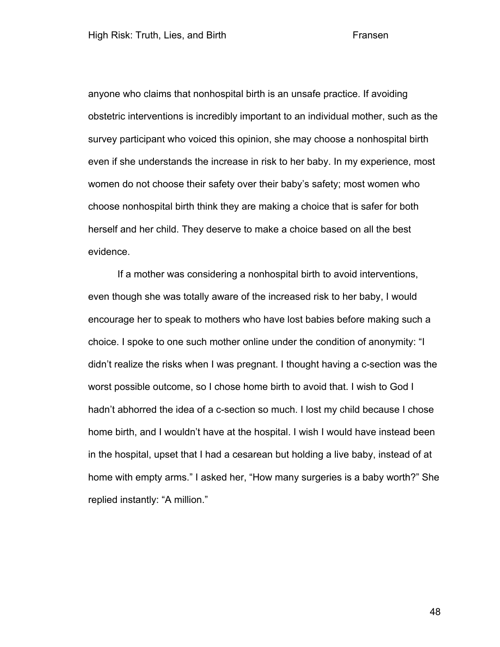anyone who claims that nonhospital birth is an unsafe practice. If avoiding obstetric interventions is incredibly important to an individual mother, such as the survey participant who voiced this opinion, she may choose a nonhospital birth even if she understands the increase in risk to her baby. In my experience, most women do not choose their safety over their baby's safety; most women who choose nonhospital birth think they are making a choice that is safer for both herself and her child. They deserve to make a choice based on all the best evidence.

If a mother was considering a nonhospital birth to avoid interventions, even though she was totally aware of the increased risk to her baby, I would encourage her to speak to mothers who have lost babies before making such a choice. I spoke to one such mother online under the condition of anonymity: "I didn't realize the risks when I was pregnant. I thought having a c-section was the worst possible outcome, so I chose home birth to avoid that. I wish to God I hadn't abhorred the idea of a c-section so much. I lost my child because I chose home birth, and I wouldn't have at the hospital. I wish I would have instead been in the hospital, upset that I had a cesarean but holding a live baby, instead of at home with empty arms." I asked her, "How many surgeries is a baby worth?" She replied instantly: "A million."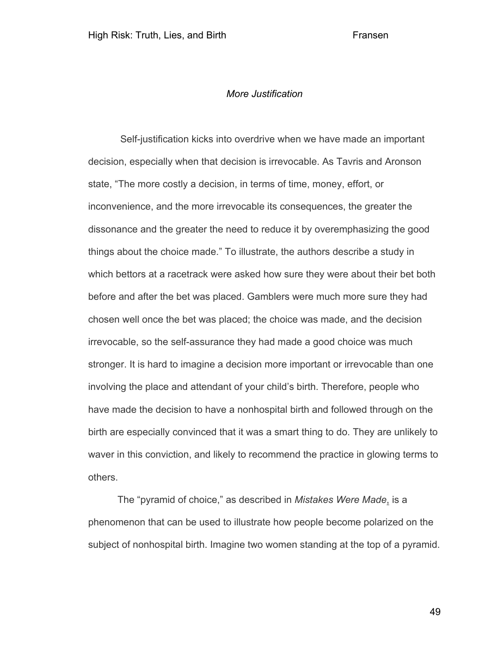## *More Justification*

Self-justification kicks into overdrive when we have made an important decision, especially when that decision is irrevocable. As Tavris and Aronson state, "The more costly a decision, in terms of time, money, effort, or inconvenience, and the more irrevocable its consequences, the greater the dissonance and the greater the need to reduce it by overemphasizing the good things about the choice made." To illustrate, the authors describe a study in which bettors at a racetrack were asked how sure they were about their bet both before and after the bet was placed. Gamblers were much more sure they had chosen well once the bet was placed; the choice was made, and the decision irrevocable, so the self-assurance they had made a good choice was much stronger. It is hard to imagine a decision more important or irrevocable than one involving the place and attendant of your child's birth. Therefore, people who have made the decision to have a nonhospital birth and followed through on the birth are especially convinced that it was a smart thing to do. They are unlikely to waver in this conviction, and likely to recommend the practice in glowing terms to others.

The "pyramid of choice," as described in *Mistakes Were Made*, is a phenomenon that can be used to illustrate how people become polarized on the subject of nonhospital birth. Imagine two women standing at the top of a pyramid.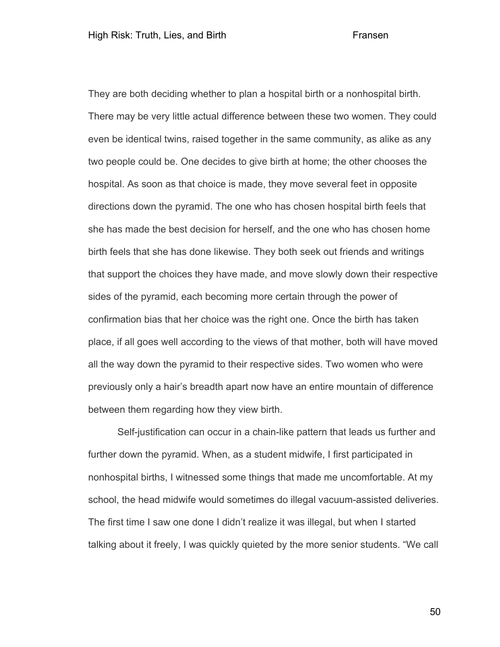They are both deciding whether to plan a hospital birth or a nonhospital birth. There may be very little actual difference between these two women. They could even be identical twins, raised together in the same community, as alike as any two people could be. One decides to give birth at home; the other chooses the hospital. As soon as that choice is made, they move several feet in opposite directions down the pyramid. The one who has chosen hospital birth feels that she has made the best decision for herself, and the one who has chosen home birth feels that she has done likewise. They both seek out friends and writings that support the choices they have made, and move slowly down their respective sides of the pyramid, each becoming more certain through the power of confirmation bias that her choice was the right one. Once the birth has taken place, if all goes well according to the views of that mother, both will have moved all the way down the pyramid to their respective sides. Two women who were previously only a hair's breadth apart now have an entire mountain of difference between them regarding how they view birth.

Self-justification can occur in a chain-like pattern that leads us further and further down the pyramid. When, as a student midwife, I first participated in nonhospital births, I witnessed some things that made me uncomfortable. At my school, the head midwife would sometimes do illegal vacuum-assisted deliveries. The first time I saw one done I didn't realize it was illegal, but when I started talking about it freely, I was quickly quieted by the more senior students. "We call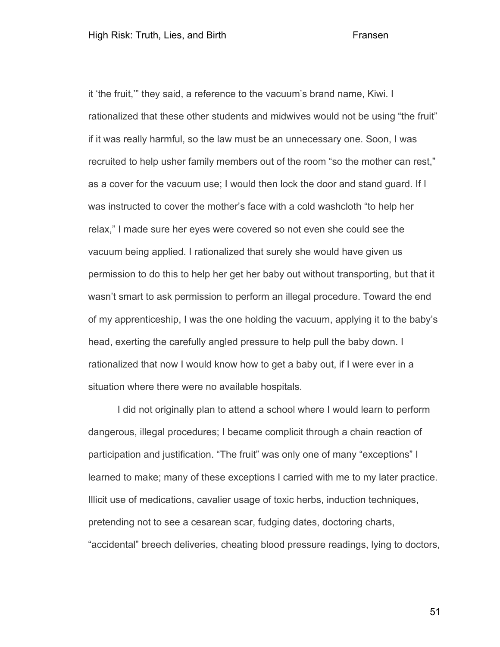it 'the fruit,'" they said, a reference to the vacuum's brand name, Kiwi. I rationalized that these other students and midwives would not be using "the fruit" if it was really harmful, so the law must be an unnecessary one. Soon, I was recruited to help usher family members out of the room "so the mother can rest," as a cover for the vacuum use; I would then lock the door and stand guard. If I was instructed to cover the mother's face with a cold washcloth "to help her relax," I made sure her eyes were covered so not even she could see the vacuum being applied. I rationalized that surely she would have given us permission to do this to help her get her baby out without transporting, but that it wasn't smart to ask permission to perform an illegal procedure. Toward the end of my apprenticeship, I was the one holding the vacuum, applying it to the baby's head, exerting the carefully angled pressure to help pull the baby down. I rationalized that now I would know how to get a baby out, if I were ever in a situation where there were no available hospitals.

I did not originally plan to attend a school where I would learn to perform dangerous, illegal procedures; I became complicit through a chain reaction of participation and justification. "The fruit" was only one of many "exceptions" I learned to make; many of these exceptions I carried with me to my later practice. Illicit use of medications, cavalier usage of toxic herbs, induction techniques, pretending not to see a cesarean scar, fudging dates, doctoring charts, "accidental" breech deliveries, cheating blood pressure readings, lying to doctors,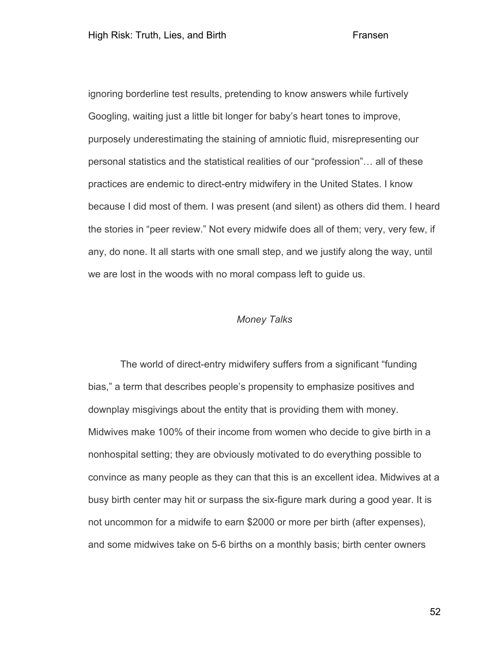ignoring borderline test results, pretending to know answers while furtively Googling, waiting just a little bit longer for baby's heart tones to improve, purposely underestimating the staining of amniotic fluid, misrepresenting our personal statistics and the statistical realities of our "profession"… all of these practices are endemic to direct-entry midwifery in the United States. I know because I did most of them. I was present (and silent) as others did them. I heard the stories in "peer review." Not every midwife does all of them; very, very few, if any, do none. It all starts with one small step, and we justify along the way, until we are lost in the woods with no moral compass left to guide us.

# *Money Talks*

The world of direct-entry midwifery suffers from a significant "funding bias," a term that describes people's propensity to emphasize positives and downplay misgivings about the entity that is providing them with money. Midwives make 100% of their income from women who decide to give birth in a nonhospital setting; they are obviously motivated to do everything possible to convince as many people as they can that this is an excellent idea. Midwives at a busy birth center may hit or surpass the six-figure mark during a good year. It is not uncommon for a midwife to earn \$2000 or more per birth (after expenses), and some midwives take on 5-6 births on a monthly basis; birth center owners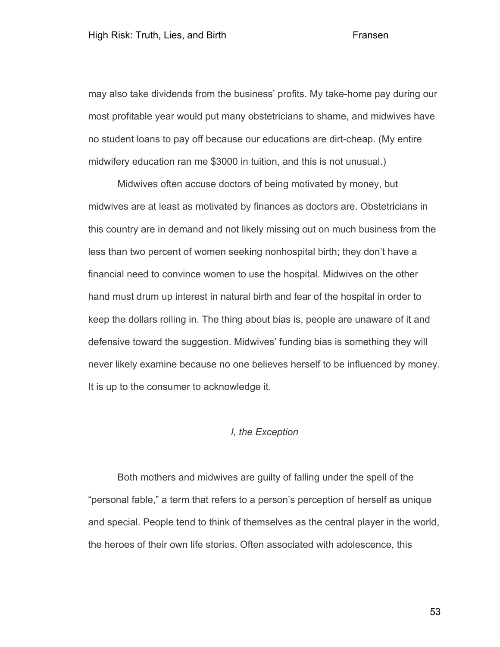may also take dividends from the business' profits. My take-home pay during our most profitable year would put many obstetricians to shame, and midwives have no student loans to pay off because our educations are dirt-cheap. (My entire midwifery education ran me \$3000 in tuition, and this is not unusual.)

Midwives often accuse doctors of being motivated by money, but midwives are at least as motivated by finances as doctors are. Obstetricians in this country are in demand and not likely missing out on much business from the less than two percent of women seeking nonhospital birth; they don't have a financial need to convince women to use the hospital. Midwives on the other hand must drum up interest in natural birth and fear of the hospital in order to keep the dollars rolling in. The thing about bias is, people are unaware of it and defensive toward the suggestion. Midwives' funding bias is something they will never likely examine because no one believes herself to be influenced by money. It is up to the consumer to acknowledge it.

# *I, the Exception*

Both mothers and midwives are guilty of falling under the spell of the "personal fable," a term that refers to a person's perception of herself as unique and special. People tend to think of themselves as the central player in the world, the heroes of their own life stories. Often associated with adolescence, this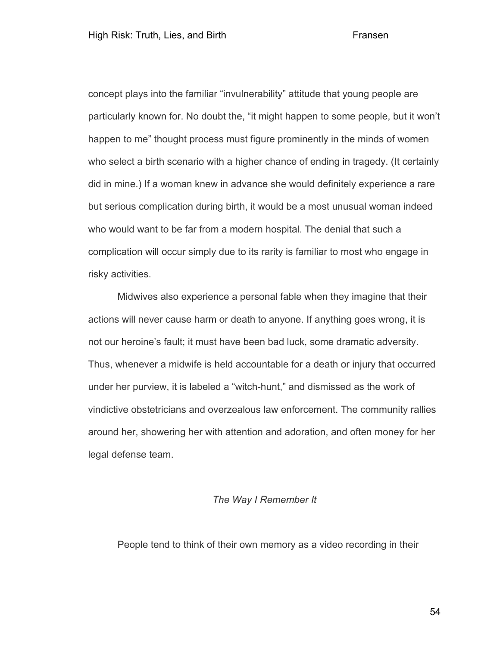concept plays into the familiar "invulnerability" attitude that young people are particularly known for. No doubt the, "it might happen to some people, but it won't happen to me" thought process must figure prominently in the minds of women who select a birth scenario with a higher chance of ending in tragedy. (It certainly did in mine.) If a woman knew in advance she would definitely experience a rare but serious complication during birth, it would be a most unusual woman indeed who would want to be far from a modern hospital. The denial that such a complication will occur simply due to its rarity is familiar to most who engage in risky activities.

Midwives also experience a personal fable when they imagine that their actions will never cause harm or death to anyone. If anything goes wrong, it is not our heroine's fault; it must have been bad luck, some dramatic adversity. Thus, whenever a midwife is held accountable for a death or injury that occurred under her purview, it is labeled a "witch-hunt," and dismissed as the work of vindictive obstetricians and overzealous law enforcement. The community rallies around her, showering her with attention and adoration, and often money for her legal defense team.

## *The Way I Remember It*

People tend to think of their own memory as a video recording in their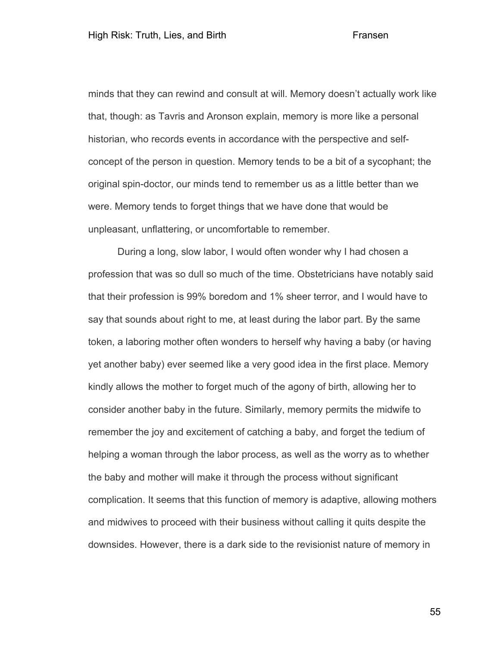minds that they can rewind and consult at will. Memory doesn't actually work like that, though: as Tavris and Aronson explain, memory is more like a personal historian, who records events in accordance with the perspective and selfconcept of the person in question. Memory tends to be a bit of a sycophant; the original spin-doctor, our minds tend to remember us as a little better than we were. Memory tends to forget things that we have done that would be unpleasant, unflattering, or uncomfortable to remember.

During a long, slow labor, I would often wonder why I had chosen a profession that was so dull so much of the time. Obstetricians have notably said that their profession is 99% boredom and 1% sheer terror, and I would have to say that sounds about right to me, at least during the labor part. By the same token, a laboring mother often wonders to herself why having a baby (or having yet another baby) ever seemed like a very good idea in the first place. Memory kindly allows the mother to forget much of the agony of birth, allowing her to consider another baby in the future. Similarly, memory permits the midwife to remember the joy and excitement of catching a baby, and forget the tedium of helping a woman through the labor process, as well as the worry as to whether the baby and mother will make it through the process without significant complication. It seems that this function of memory is adaptive, allowing mothers and midwives to proceed with their business without calling it quits despite the downsides. However, there is a dark side to the revisionist nature of memory in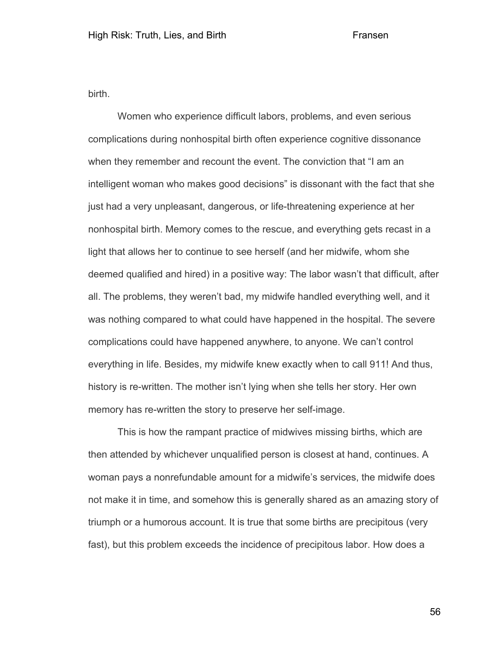birth.

Women who experience difficult labors, problems, and even serious complications during nonhospital birth often experience cognitive dissonance when they remember and recount the event. The conviction that "I am an intelligent woman who makes good decisions" is dissonant with the fact that she just had a very unpleasant, dangerous, or life-threatening experience at her nonhospital birth. Memory comes to the rescue, and everything gets recast in a light that allows her to continue to see herself (and her midwife, whom she deemed qualified and hired) in a positive way: The labor wasn't that difficult, after all. The problems, they weren't bad, my midwife handled everything well, and it was nothing compared to what could have happened in the hospital. The severe complications could have happened anywhere, to anyone. We can't control everything in life. Besides, my midwife knew exactly when to call 911! And thus, history is re-written. The mother isn't lying when she tells her story. Her own memory has re-written the story to preserve her self-image.

This is how the rampant practice of midwives missing births, which are then attended by whichever unqualified person is closest at hand, continues. A woman pays a nonrefundable amount for a midwife's services, the midwife does not make it in time, and somehow this is generally shared as an amazing story of triumph or a humorous account. It is true that some births are precipitous (very fast), but this problem exceeds the incidence of precipitous labor. How does a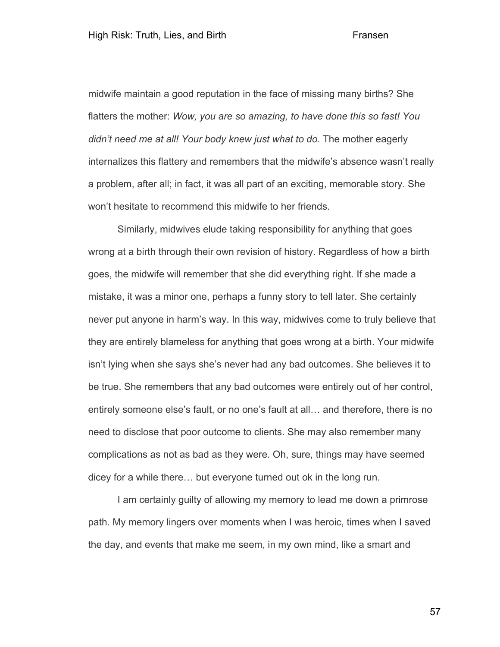midwife maintain a good reputation in the face of missing many births? She flatters the mother: *Wow, you are so amazing, to have done this so fast! You didn't need me at all! Your body knew just what to do.* The mother eagerly internalizes this flattery and remembers that the midwife's absence wasn't really a problem, after all; in fact, it was all part of an exciting, memorable story. She won't hesitate to recommend this midwife to her friends.

Similarly, midwives elude taking responsibility for anything that goes wrong at a birth through their own revision of history. Regardless of how a birth goes, the midwife will remember that she did everything right. If she made a mistake, it was a minor one, perhaps a funny story to tell later. She certainly never put anyone in harm's way. In this way, midwives come to truly believe that they are entirely blameless for anything that goes wrong at a birth. Your midwife isn't lying when she says she's never had any bad outcomes. She believes it to be true. She remembers that any bad outcomes were entirely out of her control, entirely someone else's fault, or no one's fault at all… and therefore, there is no need to disclose that poor outcome to clients. She may also remember many complications as not as bad as they were. Oh, sure, things may have seemed dicey for a while there… but everyone turned out ok in the long run.

I am certainly guilty of allowing my memory to lead me down a primrose path. My memory lingers over moments when I was heroic, times when I saved the day, and events that make me seem, in my own mind, like a smart and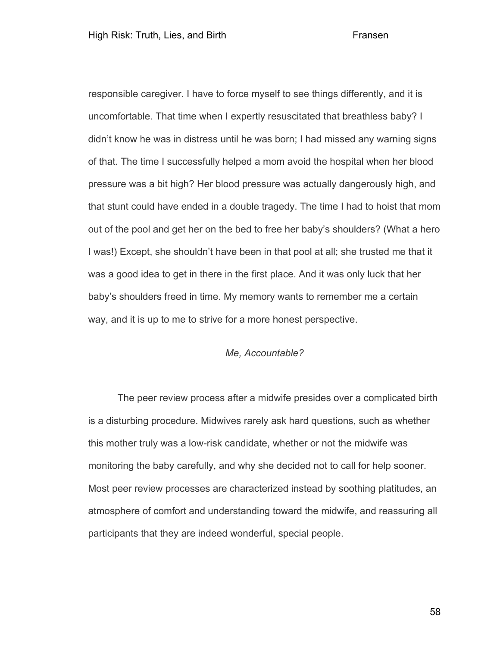responsible caregiver. I have to force myself to see things differently, and it is uncomfortable. That time when I expertly resuscitated that breathless baby? I didn't know he was in distress until he was born; I had missed any warning signs of that. The time I successfully helped a mom avoid the hospital when her blood pressure was a bit high? Her blood pressure was actually dangerously high, and that stunt could have ended in a double tragedy. The time I had to hoist that mom out of the pool and get her on the bed to free her baby's shoulders? (What a hero I was!) Except, she shouldn't have been in that pool at all; she trusted me that it was a good idea to get in there in the first place. And it was only luck that her baby's shoulders freed in time. My memory wants to remember me a certain way, and it is up to me to strive for a more honest perspective.

# *Me, Accountable?*

The peer review process after a midwife presides over a complicated birth is a disturbing procedure. Midwives rarely ask hard questions, such as whether this mother truly was a low-risk candidate, whether or not the midwife was monitoring the baby carefully, and why she decided not to call for help sooner. Most peer review processes are characterized instead by soothing platitudes, an atmosphere of comfort and understanding toward the midwife, and reassuring all participants that they are indeed wonderful, special people.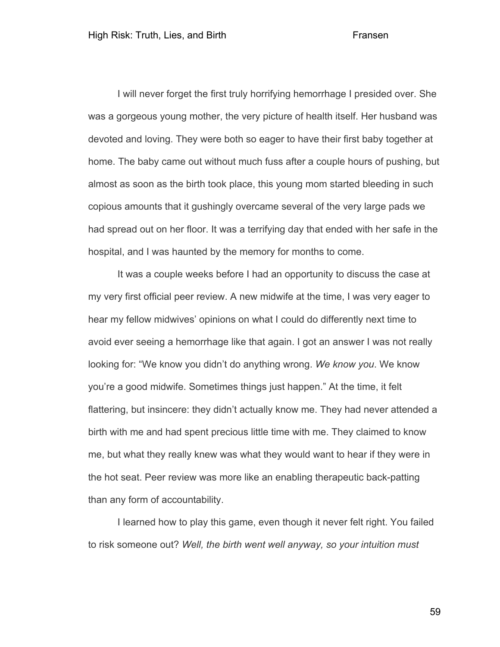I will never forget the first truly horrifying hemorrhage I presided over. She was a gorgeous young mother, the very picture of health itself. Her husband was devoted and loving. They were both so eager to have their first baby together at home. The baby came out without much fuss after a couple hours of pushing, but almost as soon as the birth took place, this young mom started bleeding in such copious amounts that it gushingly overcame several of the very large pads we had spread out on her floor. It was a terrifying day that ended with her safe in the hospital, and I was haunted by the memory for months to come.

It was a couple weeks before I had an opportunity to discuss the case at my very first official peer review. A new midwife at the time, I was very eager to hear my fellow midwives' opinions on what I could do differently next time to avoid ever seeing a hemorrhage like that again. I got an answer I was not really looking for: "We know you didn't do anything wrong. *We know you*. We know you're a good midwife. Sometimes things just happen." At the time, it felt flattering, but insincere: they didn't actually know me. They had never attended a birth with me and had spent precious little time with me. They claimed to know me, but what they really knew was what they would want to hear if they were in the hot seat. Peer review was more like an enabling therapeutic back-patting than any form of accountability.

I learned how to play this game, even though it never felt right. You failed to risk someone out? *Well, the birth went well anyway, so your intuition must*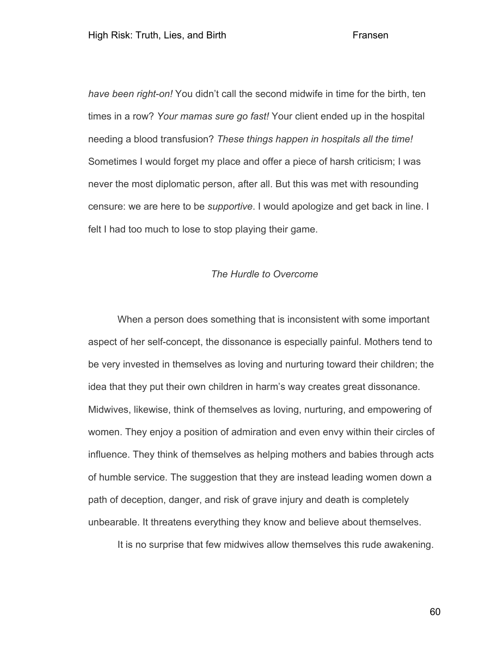*have been right-on!* You didn't call the second midwife in time for the birth, ten times in a row? *Your mamas sure go fast!* Your client ended up in the hospital needing a blood transfusion? *These things happen in hospitals all the time!* Sometimes I would forget my place and offer a piece of harsh criticism; I was never the most diplomatic person, after all. But this was met with resounding censure: we are here to be *supportive*. I would apologize and get back in line. I felt I had too much to lose to stop playing their game.

# *The Hurdle to Overcome*

When a person does something that is inconsistent with some important aspect of her self-concept, the dissonance is especially painful. Mothers tend to be very invested in themselves as loving and nurturing toward their children; the idea that they put their own children in harm's way creates great dissonance. Midwives, likewise, think of themselves as loving, nurturing, and empowering of women. They enjoy a position of admiration and even envy within their circles of influence. They think of themselves as helping mothers and babies through acts of humble service. The suggestion that they are instead leading women down a path of deception, danger, and risk of grave injury and death is completely unbearable. It threatens everything they know and believe about themselves.

It is no surprise that few midwives allow themselves this rude awakening.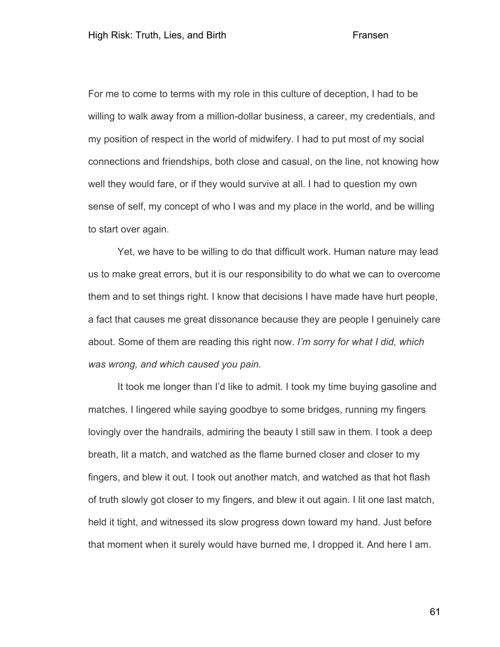For me to come to terms with my role in this culture of deception, I had to be willing to walk away from a million-dollar business, a career, my credentials, and my position of respect in the world of midwifery. I had to put most of my social connections and friendships, both close and casual, on the line, not knowing how well they would fare, or if they would survive at all. I had to question my own sense of self, my concept of who I was and my place in the world, and be willing to start over again.

Yet, we have to be willing to do that difficult work. Human nature may lead us to make great errors, but it is our responsibility to do what we can to overcome them and to set things right. I know that decisions I have made have hurt people, a fact that causes me great dissonance because they are people I genuinely care about. Some of them are reading this right now. *I'm sorry for what I did, which was wrong, and which caused you pain.*

It took me longer than I'd like to admit. I took my time buying gasoline and matches. I lingered while saying goodbye to some bridges, running my fingers lovingly over the handrails, admiring the beauty I still saw in them. I took a deep breath, lit a match, and watched as the flame burned closer and closer to my fingers, and blew it out. I took out another match, and watched as that hot flash of truth slowly got closer to my fingers, and blew it out again. I lit one last match, held it tight, and witnessed its slow progress down toward my hand. Just before that moment when it surely would have burned me, I dropped it. And here I am.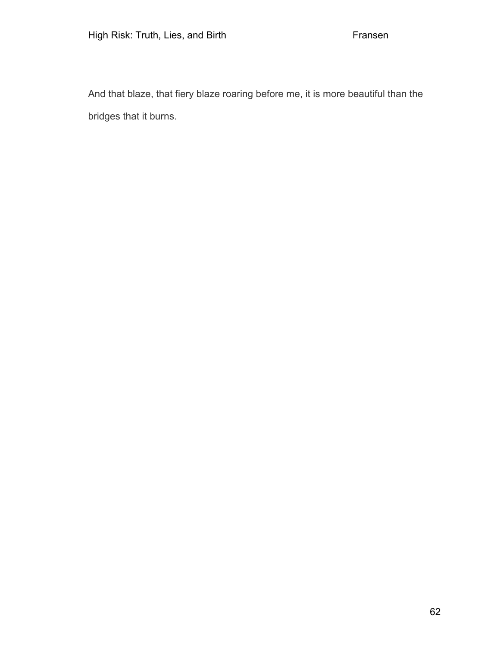And that blaze, that fiery blaze roaring before me, it is more beautiful than the bridges that it burns.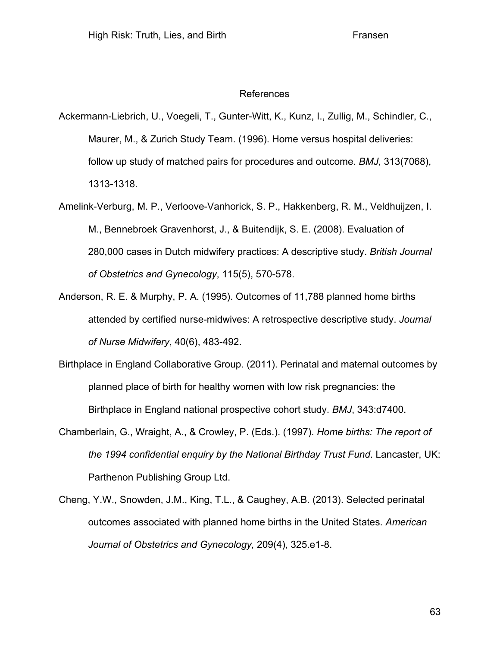## References

Ackermann-Liebrich, U., Voegeli, T., Gunter-Witt, K., Kunz, I., Zullig, M., Schindler, C., Maurer, M., & Zurich Study Team. (1996). Home versus hospital deliveries: follow up study of matched pairs for procedures and outcome. *BMJ*, 313(7068), 1313-1318.

- Amelink-Verburg, M. P., Verloove-Vanhorick, S. P., Hakkenberg, R. M., Veldhuijzen, I. M., Bennebroek Gravenhorst, J., & Buitendijk, S. E. (2008). Evaluation of 280,000 cases in Dutch midwifery practices: A descriptive study. *British Journal of Obstetrics and Gynecology*, 115(5), 570-578.
- Anderson, R. E. & Murphy, P. A. (1995). Outcomes of 11,788 planned home births attended by certified nurse-midwives: A retrospective descriptive study. *Journal of Nurse Midwifery*, 40(6), 483-492.
- Birthplace in England Collaborative Group. (2011). Perinatal and maternal outcomes by planned place of birth for healthy women with low risk pregnancies: the Birthplace in England national prospective cohort study. *BMJ*, 343:d7400.
- Chamberlain, G., Wraight, A., & Crowley, P. (Eds.). (1997). *Home births: The report of the 1994 confidential enquiry by the National Birthday Trust Fund*. Lancaster, UK: Parthenon Publishing Group Ltd.
- Cheng, Y.W., Snowden, J.M., King, T.L., & Caughey, A.B. (2013). Selected perinatal outcomes associated with planned home births in the United States. *American Journal of Obstetrics and Gynecology,* 209(4), 325.e1-8.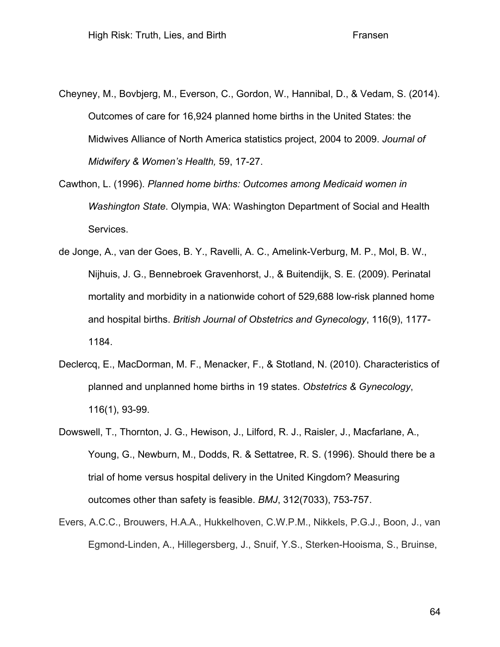- Cheyney, M., Bovbjerg, M., Everson, C., Gordon, W., Hannibal, D., & Vedam, S. (2014). Outcomes of care for 16,924 planned home births in the United States: the Midwives Alliance of North America statistics project, 2004 to 2009. *Journal of Midwifery & Women's Health,* 59, 17-27.
- Cawthon, L. (1996). *Planned home births: Outcomes among Medicaid women in Washington State*. Olympia, WA: Washington Department of Social and Health Services.
- de Jonge, A., van der Goes, B. Y., Ravelli, A. C., Amelink-Verburg, M. P., Mol, B. W., Nijhuis, J. G., Bennebroek Gravenhorst, J., & Buitendijk, S. E. (2009). Perinatal mortality and morbidity in a nationwide cohort of 529,688 low-risk planned home and hospital births. *British Journal of Obstetrics and Gynecology*, 116(9), 1177- 1184.
- Declercq, E., MacDorman, M. F., Menacker, F., & Stotland, N. (2010). Characteristics of planned and unplanned home births in 19 states. *Obstetrics & Gynecology*, 116(1), 93-99.
- Dowswell, T., Thornton, J. G., Hewison, J., Lilford, R. J., Raisler, J., Macfarlane, A., Young, G., Newburn, M., Dodds, R. & Settatree, R. S. (1996). Should there be a trial of home versus hospital delivery in the United Kingdom? Measuring outcomes other than safety is feasible. *BMJ*, 312(7033), 753-757.
- Evers, A.C.C., Brouwers, H.A.A., Hukkelhoven, C.W.P.M., Nikkels, P.G.J., Boon, J., van Egmond-Linden, A., Hillegersberg, J., Snuif, Y.S., Sterken-Hooisma, S., Bruinse,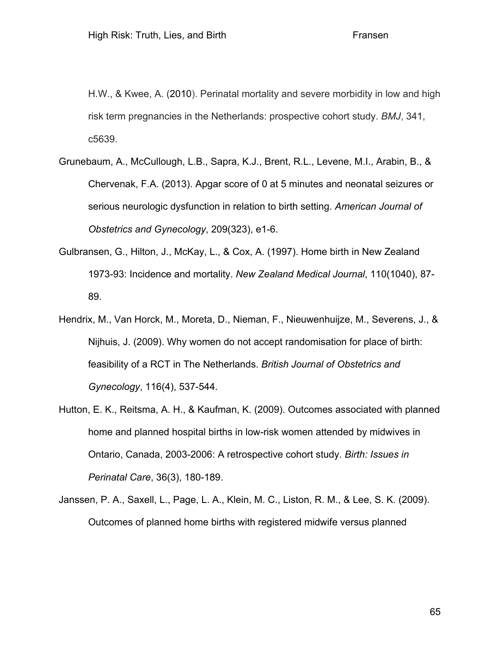H.W., & Kwee, A. (2010). Perinatal mortality and severe morbidity in low and high risk term pregnancies in the Netherlands: prospective cohort study. *BMJ*, 341, c5639.

- Grunebaum, A., McCullough, L.B., Sapra, K.J., Brent, R.L., Levene, M.I., Arabin, B., & Chervenak, F.A. (2013). Apgar score of 0 at 5 minutes and neonatal seizures or serious neurologic dysfunction in relation to birth setting. *American Journal of Obstetrics and Gynecology*, 209(323), e1-6.
- Gulbransen, G., Hilton, J., McKay, L., & Cox, A. (1997). Home birth in New Zealand 1973-93: Incidence and mortality. *New Zealand Medical Journal*, 110(1040), 87- 89.
- Hendrix, M., Van Horck, M., Moreta, D., Nieman, F., Nieuwenhuijze, M., Severens, J., & Nijhuis, J. (2009). Why women do not accept randomisation for place of birth: feasibility of a RCT in The Netherlands. *British Journal of Obstetrics and Gynecology*, 116(4), 537-544.
- Hutton, E. K., Reitsma, A. H., & Kaufman, K. (2009). Outcomes associated with planned home and planned hospital births in low-risk women attended by midwives in Ontario, Canada, 2003-2006: A retrospective cohort study. *Birth: Issues in Perinatal Care*, 36(3), 180-189.
- Janssen, P. A., Saxell, L., Page, L. A., Klein, M. C., Liston, R. M., & Lee, S. K. (2009). Outcomes of planned home births with registered midwife versus planned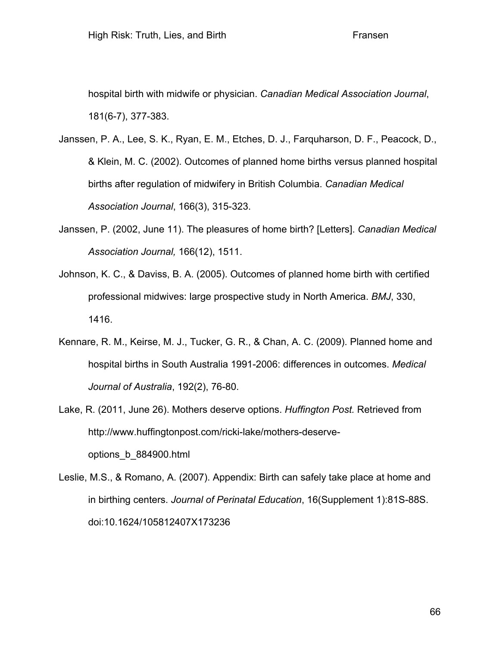hospital birth with midwife or physician. *Canadian Medical Association Journal*, 181(6-7), 377-383.

- Janssen, P. A., Lee, S. K., Ryan, E. M., Etches, D. J., Farquharson, D. F., Peacock, D., & Klein, M. C. (2002). Outcomes of planned home births versus planned hospital births after regulation of midwifery in British Columbia. *Canadian Medical Association Journal*, 166(3), 315-323.
- Janssen, P. (2002, June 11). The pleasures of home birth? [Letters]. *Canadian Medical Association Journal,* 166(12), 1511.
- Johnson, K. C., & Daviss, B. A. (2005). Outcomes of planned home birth with certified professional midwives: large prospective study in North America. *BMJ*, 330, 1416.
- Kennare, R. M., Keirse, M. J., Tucker, G. R., & Chan, A. C. (2009). Planned home and hospital births in South Australia 1991-2006: differences in outcomes. *Medical Journal of Australia*, 192(2), 76-80.
- Lake, R. (2011, June 26). Mothers deserve options. *Huffington Post.* Retrieved from http://www.huffingtonpost.com/ricki-lake/mothers-deserveoptions\_b\_884900.html
- Leslie, M.S., & Romano, A. (2007). Appendix: Birth can safely take place at home and in birthing centers. *Journal of Perinatal Education*, 16(Supplement 1):81S-88S. doi:10.1624/105812407X173236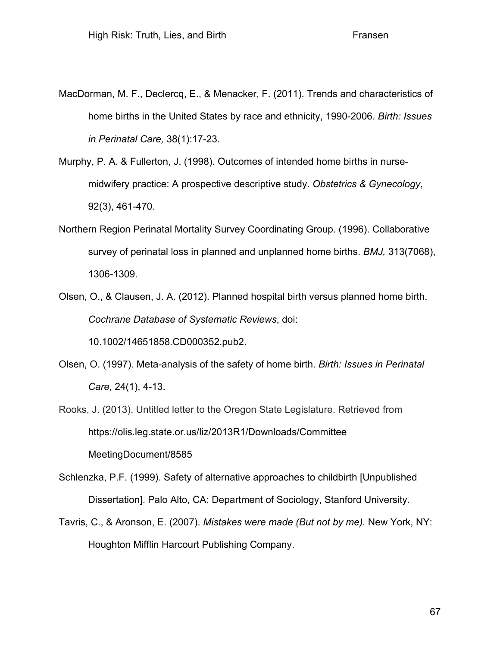- MacDorman, M. F., Declercq, E., & Menacker, F. (2011). Trends and characteristics of home births in the United States by race and ethnicity, 1990-2006. *Birth: Issues in Perinatal Care,* 38(1):17-23.
- Murphy, P. A. & Fullerton, J. (1998). Outcomes of intended home births in nursemidwifery practice: A prospective descriptive study. *Obstetrics & Gynecology*, 92(3), 461-470.
- Northern Region Perinatal Mortality Survey Coordinating Group. (1996). Collaborative survey of perinatal loss in planned and unplanned home births. *BMJ,* 313(7068), 1306-1309.
- Olsen, O., & Clausen, J. A. (2012). Planned hospital birth versus planned home birth. *Cochrane Database of Systematic Reviews*, doi:

10.1002/14651858.CD000352.pub2.

- Olsen, O. (1997). Meta-analysis of the safety of home birth. *Birth: Issues in Perinatal Care,* 24(1), 4-13.
- Rooks, J. (2013). Untitled letter to the Oregon State Legislature. Retrieved from https://olis.leg.state.or.us/liz/2013R1/Downloads/Committee MeetingDocument/8585
- Schlenzka, P.F. (1999). Safety of alternative approaches to childbirth [Unpublished Dissertation]. Palo Alto, CA: Department of Sociology, Stanford University.
- Tavris, C., & Aronson, E. (2007). *Mistakes were made (But not by me).* New York, NY: Houghton Mifflin Harcourt Publishing Company.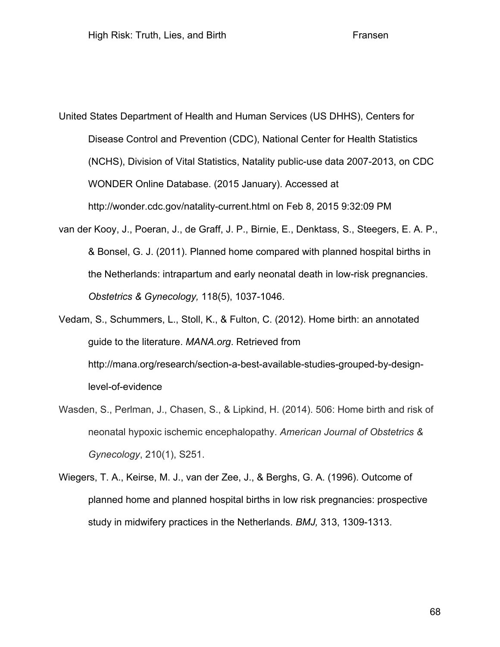United States Department of Health and Human Services (US DHHS), Centers for Disease Control and Prevention (CDC), National Center for Health Statistics (NCHS), Division of Vital Statistics, Natality public-use data 2007-2013, on CDC WONDER Online Database. (2015 January). Accessed at http://wonder.cdc.gov/natality-current.html on Feb 8, 2015 9:32:09 PM

van der Kooy, J., Poeran, J., de Graff, J. P., Birnie, E., Denktass, S., Steegers, E. A. P., & Bonsel, G. J. (2011). Planned home compared with planned hospital births in the Netherlands: intrapartum and early neonatal death in low-risk pregnancies. *Obstetrics & Gynecology,* 118(5), 1037-1046.

Vedam, S., Schummers, L., Stoll, K., & Fulton, C. (2012). Home birth: an annotated guide to the literature. *MANA.org*. Retrieved from http://mana.org/research/section-a-best-available-studies-grouped-by-designlevel-of-evidence

- Wasden, S., Perlman, J., Chasen, S., & Lipkind, H. (2014). 506: Home birth and risk of neonatal hypoxic ischemic encephalopathy. *American Journal of Obstetrics & Gynecology*, 210(1), S251.
- Wiegers, T. A., Keirse, M. J., van der Zee, J., & Berghs, G. A. (1996). Outcome of planned home and planned hospital births in low risk pregnancies: prospective study in midwifery practices in the Netherlands. *BMJ,* 313, 1309-1313.